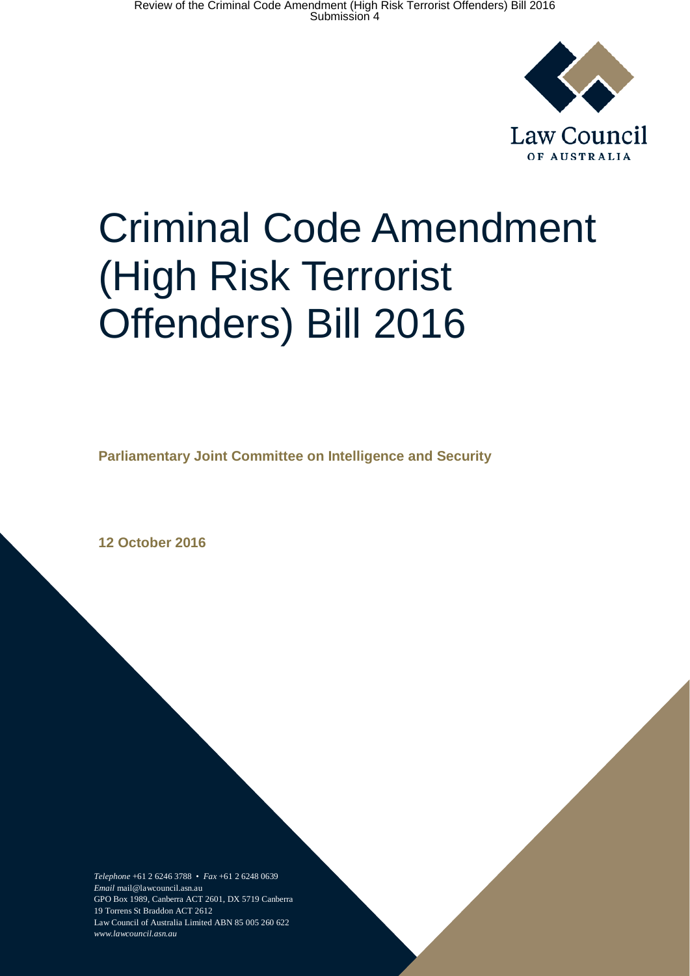

# Criminal Code Amendment (High Risk Terrorist Offenders) Bill 2016

**Parliamentary Joint Committee on Intelligence and Security**

**12 October 2016**

*Telephone* +61 2 6246 3788 • *Fax* +61 2 6248 0639 *Email* mail@lawcouncil.asn.au GPO Box 1989, Canberra ACT 2601, DX 5719 Canberra 19 Torrens St Braddon ACT 2612 Law Council of Australia Limited ABN 85 005 260 622 *www.lawcouncil.asn.au*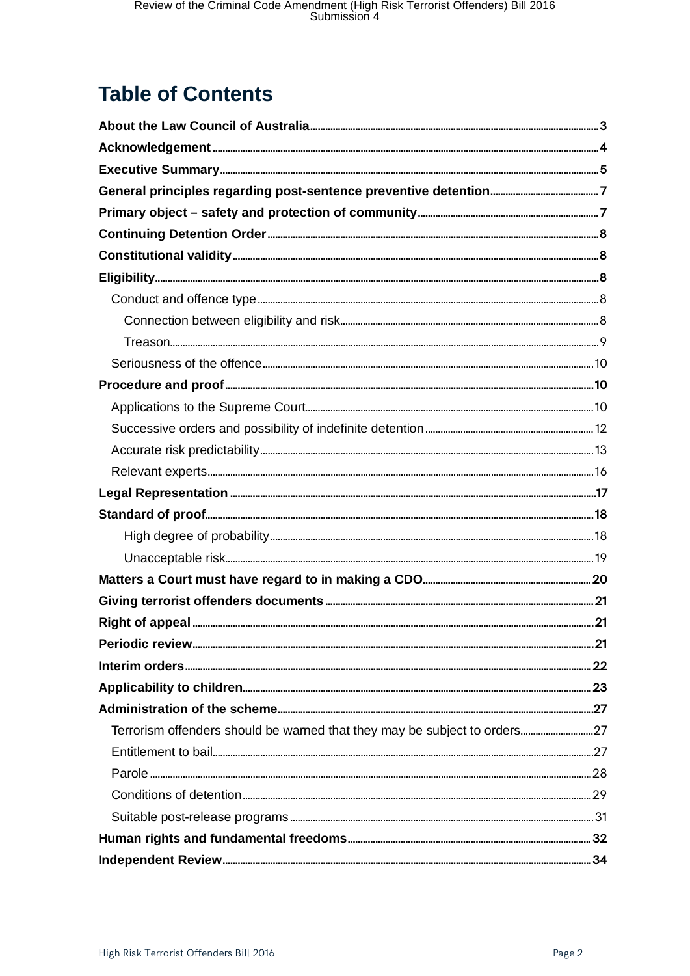# **Table of Contents**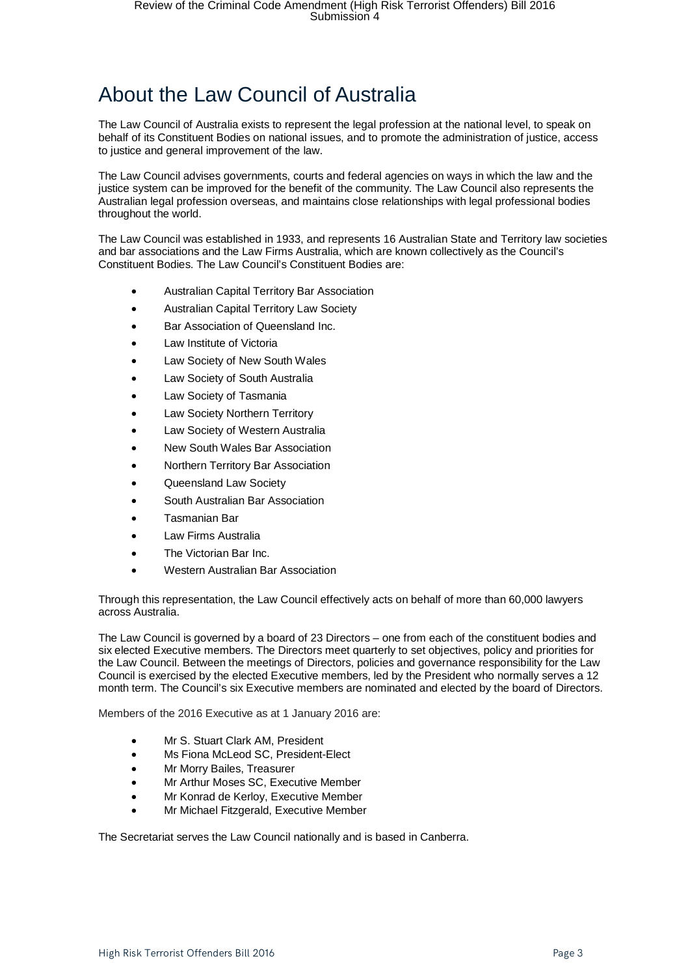# <span id="page-2-0"></span>About the Law Council of Australia

The Law Council of Australia exists to represent the legal profession at the national level, to speak on behalf of its Constituent Bodies on national issues, and to promote the administration of justice, access to justice and general improvement of the law.

The Law Council advises governments, courts and federal agencies on ways in which the law and the justice system can be improved for the benefit of the community. The Law Council also represents the Australian legal profession overseas, and maintains close relationships with legal professional bodies throughout the world.

The Law Council was established in 1933, and represents 16 Australian State and Territory law societies and bar associations and the Law Firms Australia, which are known collectively as the Council's Constituent Bodies. The Law Council's Constituent Bodies are:

- Australian Capital Territory Bar Association
- Australian Capital Territory Law Society
- Bar Association of Queensland Inc.
- Law Institute of Victoria
- Law Society of New South Wales
- Law Society of South Australia
- Law Society of Tasmania
- Law Society Northern Territory
- Law Society of Western Australia
- New South Wales Bar Association
- Northern Territory Bar Association
- Queensland Law Society
- South Australian Bar Association
- Tasmanian Bar
- Law Firms Australia
- The Victorian Bar Inc.
- Western Australian Bar Association

Through this representation, the Law Council effectively acts on behalf of more than 60,000 lawyers across Australia.

The Law Council is governed by a board of 23 Directors – one from each of the constituent bodies and six elected Executive members. The Directors meet quarterly to set objectives, policy and priorities for the Law Council. Between the meetings of Directors, policies and governance responsibility for the Law Council is exercised by the elected Executive members, led by the President who normally serves a 12 month term. The Council's six Executive members are nominated and elected by the board of Directors.

Members of the 2016 Executive as at 1 January 2016 are:

- Mr S. Stuart Clark AM, President
- Ms Fiona McLeod SC, President-Elect
- Mr Morry Bailes, Treasurer
- Mr Arthur Moses SC, Executive Member
- Mr Konrad de Kerloy, Executive Member
- Mr Michael Fitzgerald, Executive Member

The Secretariat serves the Law Council nationally and is based in Canberra.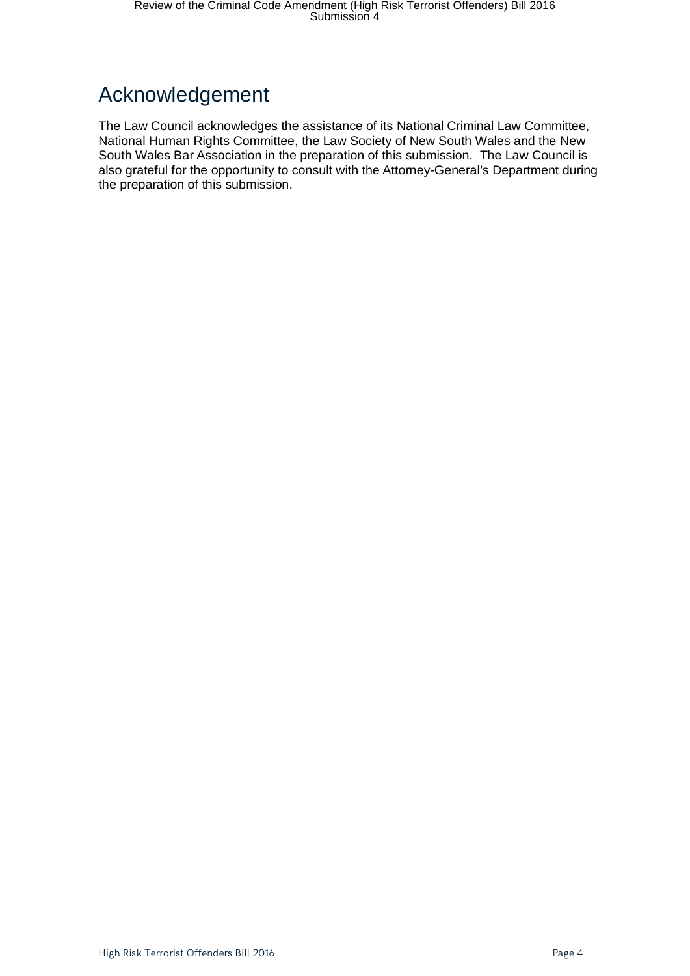# <span id="page-3-0"></span>Acknowledgement

The Law Council acknowledges the assistance of its National Criminal Law Committee, National Human Rights Committee, the Law Society of New South Wales and the New South Wales Bar Association in the preparation of this submission. The Law Council is also grateful for the opportunity to consult with the Attorney-General's Department during the preparation of this submission.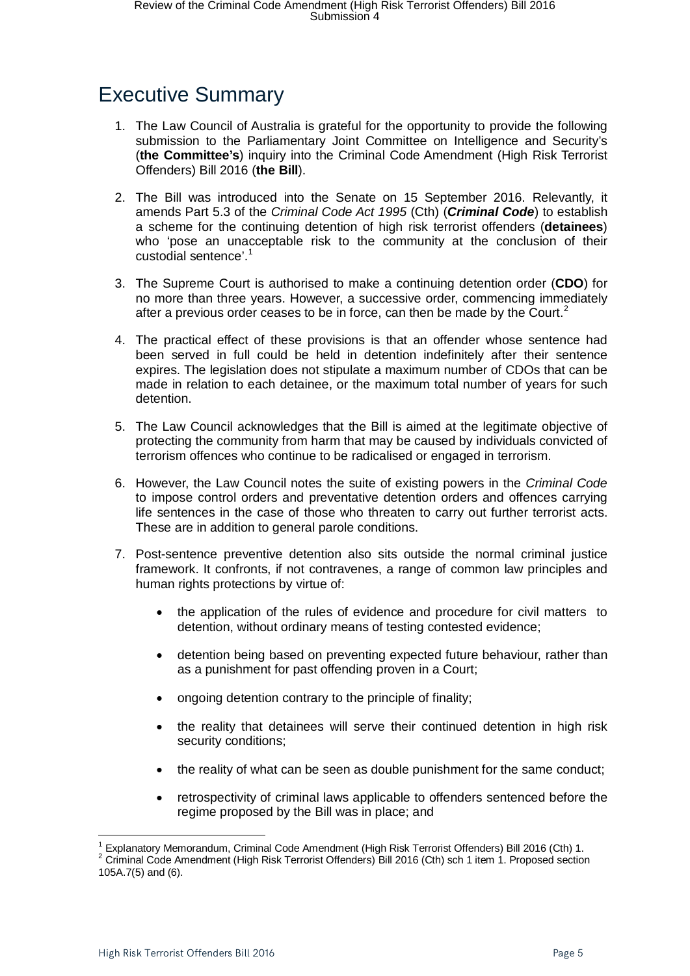# <span id="page-4-0"></span>Executive Summary

- 1. The Law Council of Australia is grateful for the opportunity to provide the following submission to the Parliamentary Joint Committee on Intelligence and Security's (**the Committee's**) inquiry into the Criminal Code Amendment (High Risk Terrorist Offenders) Bill 2016 (**the Bill**).
- 2. The Bill was introduced into the Senate on 15 September 2016. Relevantly, it amends Part 5.3 of the *Criminal Code Act 1995* (Cth) (*Criminal Code*) to establish a scheme for the continuing detention of high risk terrorist offenders (**detainees**) who 'pose an unacceptable risk to the community at the conclusion of their custodial sentence'.<sup>[1](#page-4-1)</sup>
- 3. The Supreme Court is authorised to make a continuing detention order (**CDO**) for no more than three years. However, a successive order, commencing immediately after a previous order ceases to be in force, can then be made by the Court.<sup>[2](#page-4-2)</sup>
- 4. The practical effect of these provisions is that an offender whose sentence had been served in full could be held in detention indefinitely after their sentence expires. The legislation does not stipulate a maximum number of CDOs that can be made in relation to each detainee, or the maximum total number of years for such detention.
- 5. The Law Council acknowledges that the Bill is aimed at the legitimate objective of protecting the community from harm that may be caused by individuals convicted of terrorism offences who continue to be radicalised or engaged in terrorism.
- 6. However, the Law Council notes the suite of existing powers in the *Criminal Code* to impose control orders and preventative detention orders and offences carrying life sentences in the case of those who threaten to carry out further terrorist acts. These are in addition to general parole conditions.
- 7. Post-sentence preventive detention also sits outside the normal criminal justice framework. It confronts, if not contravenes, a range of common law principles and human rights protections by virtue of:
	- the application of the rules of evidence and procedure for civil matters to detention, without ordinary means of testing contested evidence;
	- detention being based on preventing expected future behaviour, rather than as a punishment for past offending proven in a Court;
	- ongoing detention contrary to the principle of finality;
	- the reality that detainees will serve their continued detention in high risk security conditions;
	- the reality of what can be seen as double punishment for the same conduct;
	- retrospectivity of criminal laws applicable to offenders sentenced before the regime proposed by the Bill was in place; and

 $\overline{a}$ 

<span id="page-4-2"></span><span id="page-4-1"></span><sup>&</sup>lt;sup>1</sup> Explanatory Memorandum, Criminal Code Amendment (High Risk Terrorist Offenders) Bill 2016 (Cth) 1.<br><sup>2</sup> Criminal Code Amendment (High Risk Terrorist Offenders) Bill 2016 (Cth) sch 1 item 1. Proposed section 105A.7(5) and (6).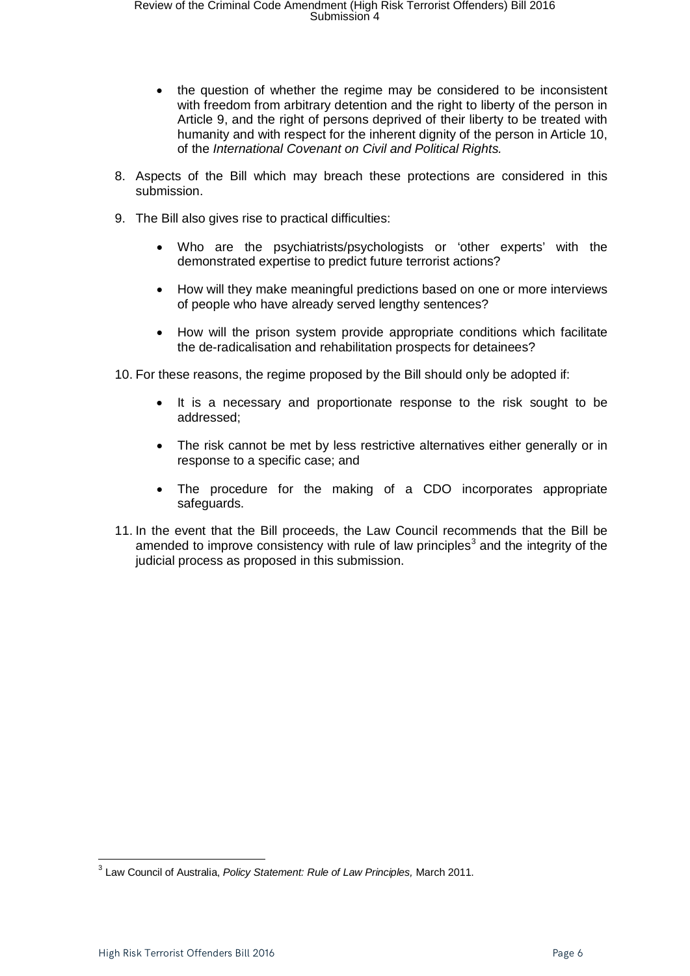- the question of whether the regime may be considered to be inconsistent with freedom from arbitrary detention and the right to liberty of the person in Article 9, and the right of persons deprived of their liberty to be treated with humanity and with respect for the inherent dignity of the person in Article 10, of the *International Covenant on Civil and Political Rights.*
- 8. Aspects of the Bill which may breach these protections are considered in this submission.
- 9. The Bill also gives rise to practical difficulties:
	- Who are the psychiatrists/psychologists or 'other experts' with the demonstrated expertise to predict future terrorist actions?
	- How will they make meaningful predictions based on one or more interviews of people who have already served lengthy sentences?
	- How will the prison system provide appropriate conditions which facilitate the de-radicalisation and rehabilitation prospects for detainees?
- 10. For these reasons, the regime proposed by the Bill should only be adopted if:
	- It is a necessary and proportionate response to the risk sought to be addressed;
	- The risk cannot be met by less restrictive alternatives either generally or in response to a specific case; and
	- The procedure for the making of a CDO incorporates appropriate safeguards.
- 11. In the event that the Bill proceeds, the Law Council recommends that the Bill be amended to improve consistency with rule of law principles<sup>[3](#page-5-0)</sup> and the integrity of the judicial process as proposed in this submission.

<span id="page-5-0"></span><sup>3</sup> Law Council of Australia, *Policy Statement: Rule of Law Principles,* March 2011.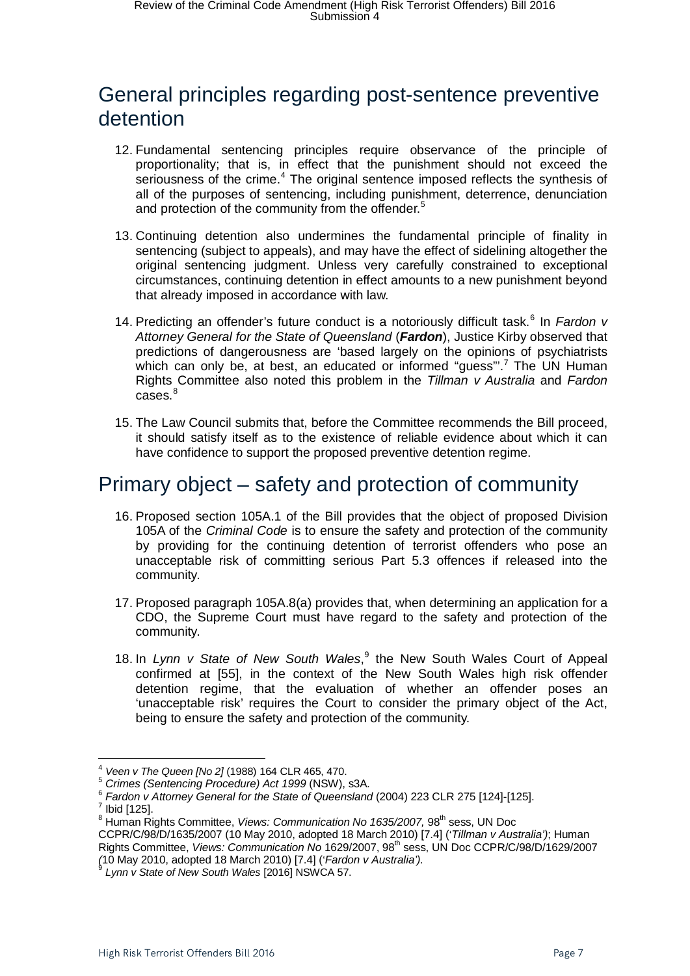### <span id="page-6-0"></span>General principles regarding post-sentence preventive detention

- 12. Fundamental sentencing principles require observance of the principle of proportionality; that is, in effect that the punishment should not exceed the seriousness of the crime.<sup>[4](#page-6-2)</sup> The original sentence imposed reflects the synthesis of all of the purposes of sentencing, including punishment, deterrence, denunciation and protection of the community from the offender.<sup>[5](#page-6-3)</sup>
- 13. Continuing detention also undermines the fundamental principle of finality in sentencing (subject to appeals), and may have the effect of sidelining altogether the original sentencing judgment. Unless very carefully constrained to exceptional circumstances, continuing detention in effect amounts to a new punishment beyond that already imposed in accordance with law.
- 14. Predicting an offender's future conduct is a notoriously difficult task.<sup>[6](#page-6-4)</sup> In *Fardon v Attorney General for the State of Queensland* (*Fardon*), Justice Kirby observed that predictions of dangerousness are 'based largely on the opinions of psychiatrists which can only be, at best, an educated or informed "guess".<sup>[7](#page-6-5)</sup> The UN Human Rights Committee also noted this problem in the *Tillman v Australia* and *Fardon* cases. [8](#page-6-6)
- 15. The Law Council submits that, before the Committee recommends the Bill proceed, it should satisfy itself as to the existence of reliable evidence about which it can have confidence to support the proposed preventive detention regime.

### <span id="page-6-1"></span>Primary object – safety and protection of community

- 16. Proposed section 105A.1 of the Bill provides that the object of proposed Division 105A of the *Criminal Code* is to ensure the safety and protection of the community by providing for the continuing detention of terrorist offenders who pose an unacceptable risk of committing serious Part 5.3 offences if released into the community.
- 17. Proposed paragraph 105A.8(a) provides that, when determining an application for a CDO, the Supreme Court must have regard to the safety and protection of the community.
- 18. In *Lynn v State of New South Wales*, [9](#page-6-7) the New South Wales Court of Appeal confirmed at [55], in the context of the New South Wales high risk offender detention regime, that the evaluation of whether an offender poses an 'unacceptable risk' requires the Court to consider the primary object of the Act, being to ensure the safety and protection of the community.

<span id="page-6-3"></span><span id="page-6-2"></span><sup>&</sup>lt;sup>4</sup> Veen v The Queen [No 2] (1988) 164 CLR 465, 470.<br><sup>5</sup> Crimes (Sentencing Procedure) Act 1999 (NSW), s3A.<br><sup>6</sup> Fardon v Attorney General for the State of Queensland (2004) 223 CLR 275 [124]-[125].<br><sup>7</sup> Ibid [125].

<span id="page-6-4"></span>

<span id="page-6-5"></span><sup>&</sup>lt;sup>8</sup> Human Rights Committee, *Views: Communication No 1635/2007*, 98<sup>th</sup> sess, UN Doc

<span id="page-6-6"></span>CCPR/C/98/D/1635/2007 (10 May 2010, adopted 18 March 2010) [7.4] ('*Tillman v Australia')*; Human Rights Committee, *Views: Communication No* 1629/2007, 98th sess, UN Doc CCPR/C/98/D/1629/2007 *(*10 May 2010, adopted 18 March 2010) [7.4] ('*Fardon v Australia').* <sup>9</sup> *Lynn v State of New South Wales* [2016] NSWCA 57.

<span id="page-6-7"></span>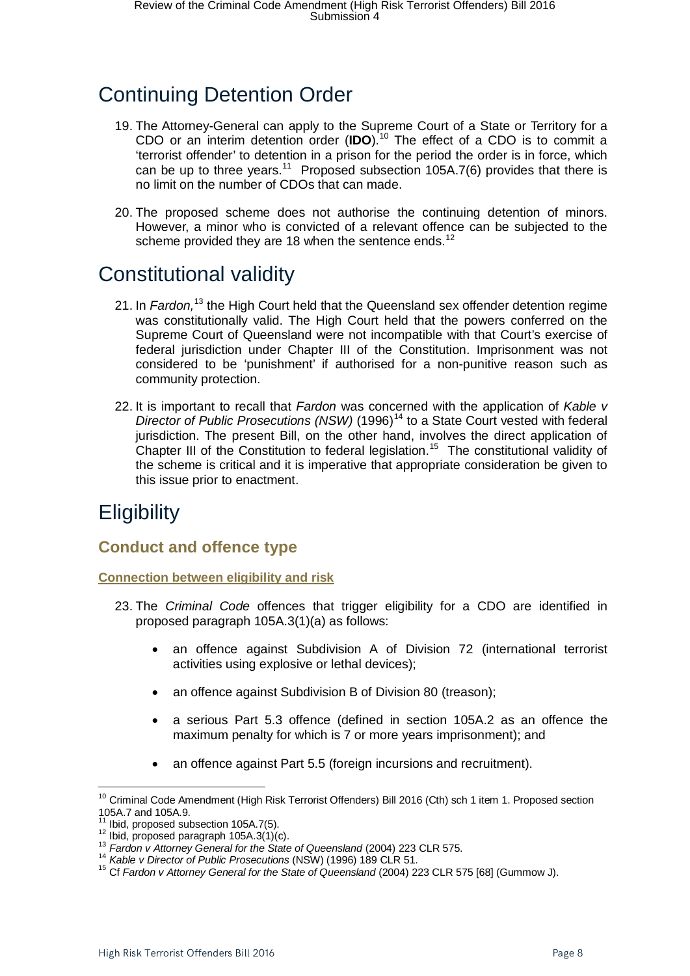# <span id="page-7-0"></span>Continuing Detention Order

- 19. The Attorney-General can apply to the Supreme Court of a State or Territory for a CDO or an interim detention order (**IDO**).[10](#page-7-5) The effect of a CDO is to commit a 'terrorist offender' to detention in a prison for the period the order is in force, which can be up to three years.<sup>11</sup> Proposed subsection 105A.7(6) provides that there is no limit on the number of CDOs that can made.
- 20. The proposed scheme does not authorise the continuing detention of minors. However, a minor who is convicted of a relevant offence can be subjected to the scheme provided they are 18 when the sentence ends.<sup>[12](#page-7-7)</sup>

# <span id="page-7-1"></span>Constitutional validity

- 21. In *Fardon,*[13](#page-7-8) the High Court held that the Queensland sex offender detention regime was constitutionally valid. The High Court held that the powers conferred on the Supreme Court of Queensland were not incompatible with that Court's exercise of federal jurisdiction under Chapter III of the Constitution. Imprisonment was not considered to be 'punishment' if authorised for a non-punitive reason such as community protection.
- 22. It is important to recall that *Fardon* was concerned with the application of *Kable v Director of Public Prosecutions (NSW)* (1996)<sup>[14](#page-7-9)</sup> to a State Court vested with federal jurisdiction. The present Bill, on the other hand, involves the direct application of Chapter III of the Constitution to federal legislation.<sup>[15](#page-7-10)</sup> The constitutional validity of the scheme is critical and it is imperative that appropriate consideration be given to this issue prior to enactment.

# <span id="page-7-2"></span>**Eligibility**

 $\overline{a}$ 

### <span id="page-7-3"></span>**Conduct and offence type**

<span id="page-7-4"></span>**Connection between eligibility and risk**

- 23. The *Criminal Code* offences that trigger eligibility for a CDO are identified in proposed paragraph 105A.3(1)(a) as follows:
	- an offence against Subdivision A of Division 72 (international terrorist activities using explosive or lethal devices);
	- an offence against Subdivision B of Division 80 (treason);
	- a serious Part 5.3 offence (defined in section 105A.2 as an offence the maximum penalty for which is 7 or more years imprisonment); and
	- an offence against Part 5.5 (foreign incursions and recruitment).

<span id="page-7-5"></span><sup>&</sup>lt;sup>10</sup> Criminal Code Amendment (High Risk Terrorist Offenders) Bill 2016 (Cth) sch 1 item 1. Proposed section 105A.7 and 105A.9.<br><sup>11</sup> Ibid, proposed subsection 105A.7(5).

<span id="page-7-8"></span>

<span id="page-7-10"></span><span id="page-7-9"></span>

<span id="page-7-7"></span><span id="page-7-6"></span><sup>&</sup>lt;sup>12</sup> Ibid, proposed paragraph 105A.3(1)(c).<br><sup>13</sup> Fardon v Attorney General for the State of Queensland (2004) 223 CLR 575.<br><sup>14</sup> Kable v Director of Public Prosecutions (NSW) (1996) 189 CLR 51.<br><sup>15</sup> Cf Fardon v Attorney Ge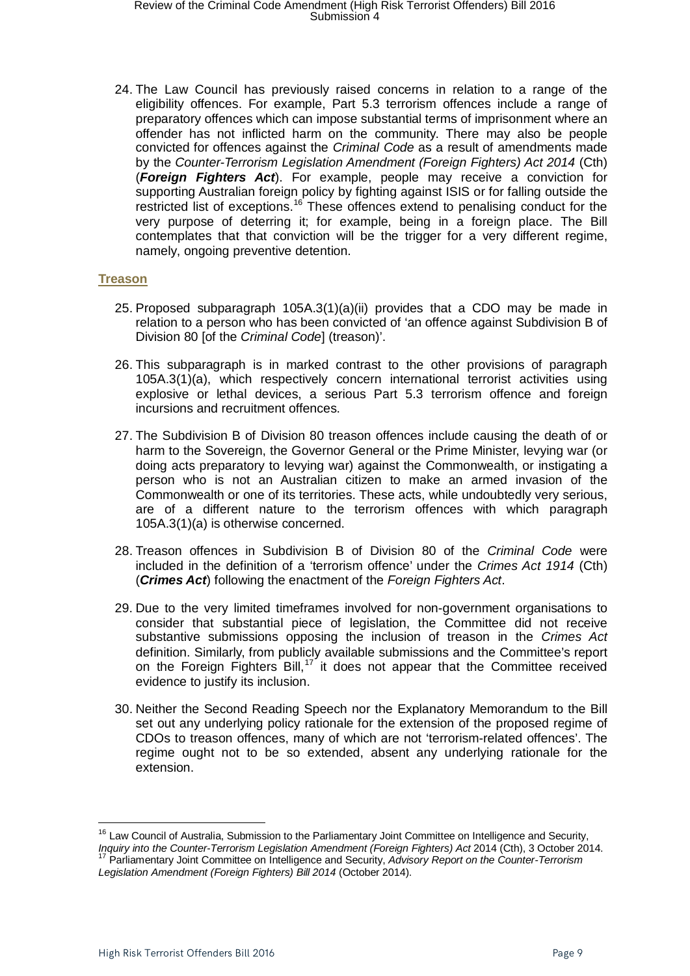24. The Law Council has previously raised concerns in relation to a range of the eligibility offences. For example, Part 5.3 terrorism offences include a range of preparatory offences which can impose substantial terms of imprisonment where an offender has not inflicted harm on the community. There may also be people convicted for offences against the *Criminal Code* as a result of amendments made by the *Counter-Terrorism Legislation Amendment (Foreign Fighters) Act 2014* (Cth) (*Foreign Fighters Act*). For example, people may receive a conviction for supporting Australian foreign policy by fighting against ISIS or for falling outside the restricted list of exceptions.<sup>[16](#page-8-1)</sup> These offences extend to penalising conduct for the very purpose of deterring it; for example, being in a foreign place. The Bill contemplates that that conviction will be the trigger for a very different regime, namely, ongoing preventive detention.

#### <span id="page-8-0"></span>**Treason**

- 25. Proposed subparagraph 105A.3(1)(a)(ii) provides that a CDO may be made in relation to a person who has been convicted of 'an offence against Subdivision B of Division 80 [of the *Criminal Code*] (treason)'.
- 26. This subparagraph is in marked contrast to the other provisions of paragraph 105A.3(1)(a), which respectively concern international terrorist activities using explosive or lethal devices, a serious Part 5.3 terrorism offence and foreign incursions and recruitment offences.
- 27. The Subdivision B of Division 80 treason offences include causing the death of or harm to the Sovereign, the Governor General or the Prime Minister, levying war (or doing acts preparatory to levying war) against the Commonwealth, or instigating a person who is not an Australian citizen to make an armed invasion of the Commonwealth or one of its territories. These acts, while undoubtedly very serious, are of a different nature to the terrorism offences with which paragraph 105A.3(1)(a) is otherwise concerned.
- 28. Treason offences in Subdivision B of Division 80 of the *Criminal Code* were included in the definition of a 'terrorism offence' under the *Crimes Act 1914* (Cth) (*Crimes Act*) following the enactment of the *Foreign Fighters Act*.
- 29. Due to the very limited timeframes involved for non-government organisations to consider that substantial piece of legislation, the Committee did not receive substantive submissions opposing the inclusion of treason in the *Crimes Act* definition. Similarly, from publicly available submissions and the Committee's report on the Foreign Fighters Bill,<sup>[17](#page-8-2)</sup> it does not appear that the Committee received evidence to justify its inclusion.
- 30. Neither the Second Reading Speech nor the Explanatory Memorandum to the Bill set out any underlying policy rationale for the extension of the proposed regime of CDOs to treason offences, many of which are not 'terrorism-related offences'. The regime ought not to be so extended, absent any underlying rationale for the extension.

<span id="page-8-1"></span><sup>&</sup>lt;sup>16</sup> Law Council of Australia, Submission to the Parliamentary Joint Committee on Intelligence and Security, Inquiry into the Counter-Terrorism Legislation Amendment (Foreign Fighters) Act 2014 (Cth), 3 October 2014.<br><sup>17</sup> Parliamentary Joint Committee on Intelligence and Security, Advisory Report on the Counter-Terrorism

<span id="page-8-2"></span>*Legislation Amendment (Foreign Fighters) Bill 2014* (October 2014).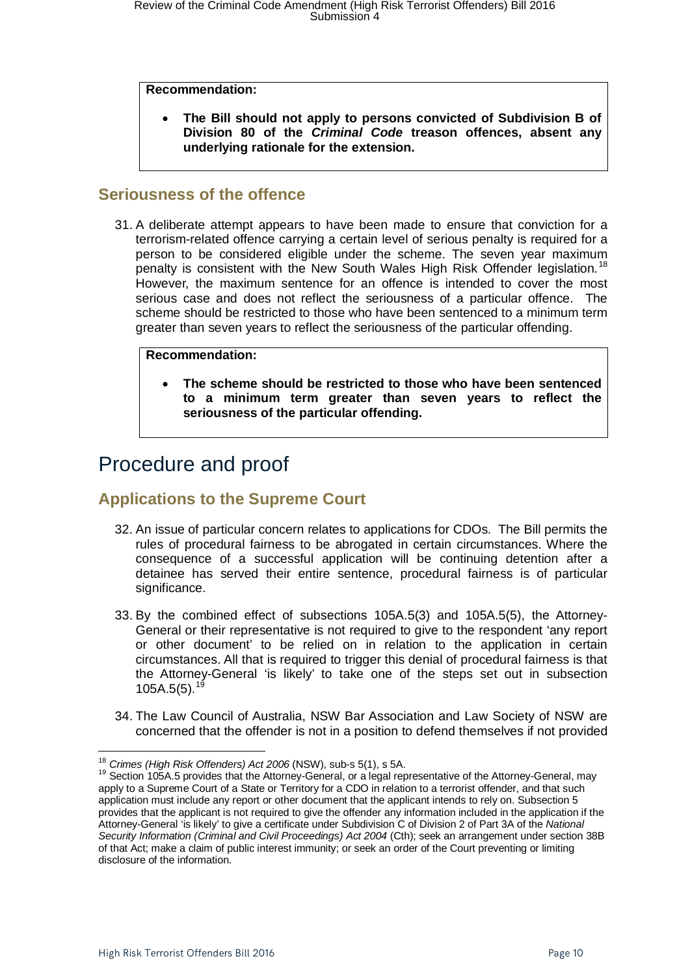#### **Recommendation:**

• **The Bill should not apply to persons convicted of Subdivision B of Division 80 of the** *Criminal Code* **treason offences, absent any underlying rationale for the extension.** 

### <span id="page-9-0"></span>**Seriousness of the offence**

31. A deliberate attempt appears to have been made to ensure that conviction for a terrorism-related offence carrying a certain level of serious penalty is required for a person to be considered eligible under the scheme. The seven year maximum penalty is consistent with the New South Wales High Risk Offender legislation.<sup>[18](#page-9-3)</sup> However, the maximum sentence for an offence is intended to cover the most serious case and does not reflect the seriousness of a particular offence. The scheme should be restricted to those who have been sentenced to a minimum term greater than seven years to reflect the seriousness of the particular offending.

#### **Recommendation:**

• **The scheme should be restricted to those who have been sentenced to a minimum term greater than seven years to reflect the seriousness of the particular offending.**

### <span id="page-9-1"></span>Procedure and proof

### <span id="page-9-2"></span>**Applications to the Supreme Court**

- 32. An issue of particular concern relates to applications for CDOs. The Bill permits the rules of procedural fairness to be abrogated in certain circumstances. Where the consequence of a successful application will be continuing detention after a detainee has served their entire sentence, procedural fairness is of particular significance.
- 33. By the combined effect of subsections 105A.5(3) and 105A.5(5), the Attorney-General or their representative is not required to give to the respondent 'any report or other document' to be relied on in relation to the application in certain circumstances. All that is required to trigger this denial of procedural fairness is that the Attorney-General 'is likely' to take one of the steps set out in subsection  $105A.5(5).$ <sup>[19](#page-9-4)</sup>
- 34. The Law Council of Australia, NSW Bar Association and Law Society of NSW are concerned that the offender is not in a position to defend themselves if not provided

<sup>&</sup>lt;sup>18</sup> Crimes (High Risk Offenders) Act 2006 (NSW), sub-s 5(1), s 5A.

<span id="page-9-4"></span><span id="page-9-3"></span><sup>&</sup>lt;sup>19</sup> Section 105A.5 provides that the Attorney-General, or a legal representative of the Attorney-General, may apply to a Supreme Court of a State or Territory for a CDO in relation to a terrorist offender, and that such application must include any report or other document that the applicant intends to rely on. Subsection 5 provides that the applicant is not required to give the offender any information included in the application if the Attorney-General 'is likely' to give a certificate under Subdivision C of Division 2 of Part 3A of the *National Security Information (Criminal and Civil Proceedings) Act 2004* (Cth); seek an arrangement under section 38B of that Act; make a claim of public interest immunity; or seek an order of the Court preventing or limiting disclosure of the information.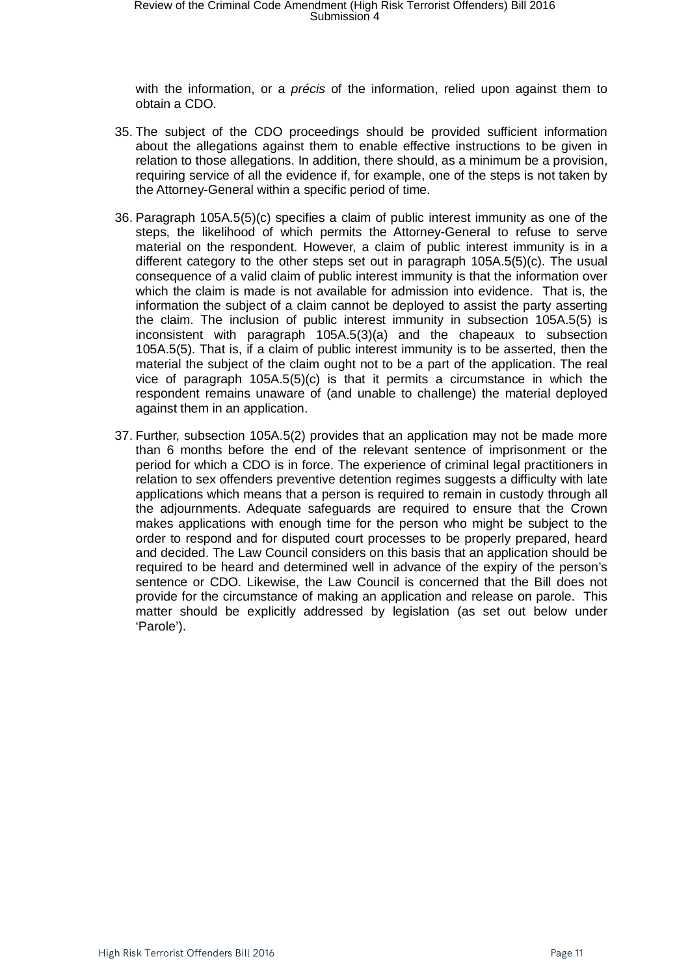with the information, or a *précis* of the information, relied upon against them to obtain a CDO.

- 35. The subject of the CDO proceedings should be provided sufficient information about the allegations against them to enable effective instructions to be given in relation to those allegations. In addition, there should, as a minimum be a provision, requiring service of all the evidence if, for example, one of the steps is not taken by the Attorney-General within a specific period of time.
- 36. Paragraph 105A.5(5)(c) specifies a claim of public interest immunity as one of the steps, the likelihood of which permits the Attorney-General to refuse to serve material on the respondent. However, a claim of public interest immunity is in a different category to the other steps set out in paragraph 105A.5(5)(c). The usual consequence of a valid claim of public interest immunity is that the information over which the claim is made is not available for admission into evidence. That is, the information the subject of a claim cannot be deployed to assist the party asserting the claim. The inclusion of public interest immunity in subsection 105A.5(5) is inconsistent with paragraph 105A.5(3)(a) and the chapeaux to subsection 105A.5(5). That is, if a claim of public interest immunity is to be asserted, then the material the subject of the claim ought not to be a part of the application. The real vice of paragraph 105A.5(5)(c) is that it permits a circumstance in which the respondent remains unaware of (and unable to challenge) the material deployed against them in an application.
- 37. Further, subsection 105A.5(2) provides that an application may not be made more than 6 months before the end of the relevant sentence of imprisonment or the period for which a CDO is in force. The experience of criminal legal practitioners in relation to sex offenders preventive detention regimes suggests a difficulty with late applications which means that a person is required to remain in custody through all the adjournments. Adequate safeguards are required to ensure that the Crown makes applications with enough time for the person who might be subject to the order to respond and for disputed court processes to be properly prepared, heard and decided. The Law Council considers on this basis that an application should be required to be heard and determined well in advance of the expiry of the person's sentence or CDO. Likewise, the Law Council is concerned that the Bill does not provide for the circumstance of making an application and release on parole. This matter should be explicitly addressed by legislation (as set out below under 'Parole').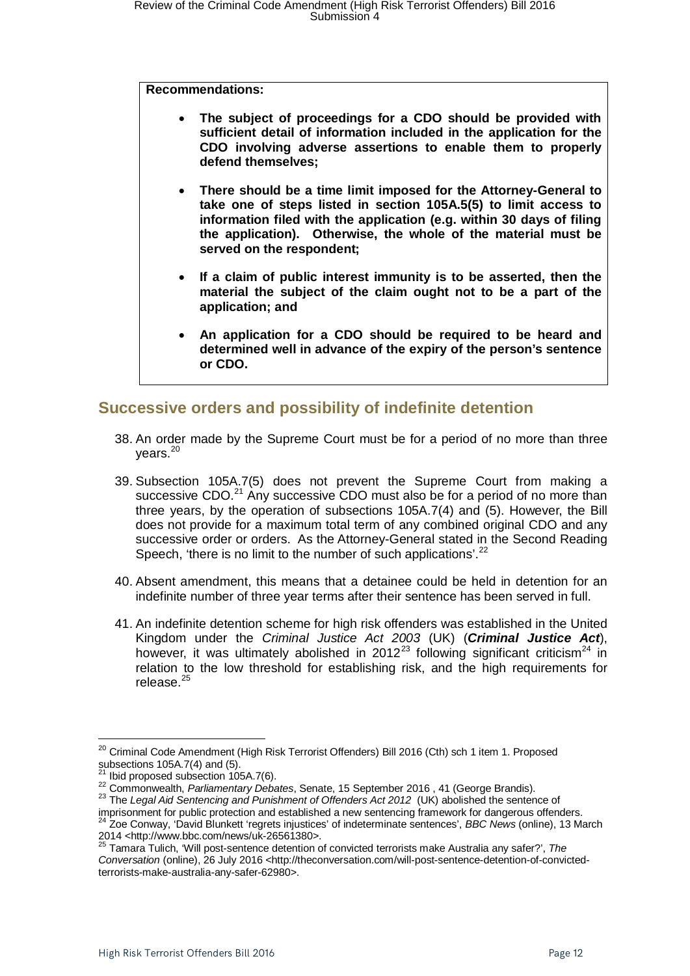**Recommendations:**

- **The subject of proceedings for a CDO should be provided with sufficient detail of information included in the application for the CDO involving adverse assertions to enable them to properly defend themselves;**
- **There should be a time limit imposed for the Attorney-General to take one of steps listed in section 105A.5(5) to limit access to information filed with the application (e.g. within 30 days of filing the application). Otherwise, the whole of the material must be served on the respondent;**
- **If a claim of public interest immunity is to be asserted, then the material the subject of the claim ought not to be a part of the application; and**
- **An application for a CDO should be required to be heard and determined well in advance of the expiry of the person's sentence or CDO.**

### <span id="page-11-0"></span>**Successive orders and possibility of indefinite detention**

- 38. An order made by the Supreme Court must be for a period of no more than three years.<sup>[20](#page-11-1)</sup>
- 39. Subsection 105A.7(5) does not prevent the Supreme Court from making a successive CDO.<sup>[21](#page-11-2)</sup> Any successive CDO must also be for a period of no more than three years, by the operation of subsections 105A.7(4) and (5). However, the Bill does not provide for a maximum total term of any combined original CDO and any successive order or orders. As the Attorney-General stated in the Second Reading Speech, 'there is no limit to the number of such applications'.<sup>[22](#page-11-3)</sup>
- 40. Absent amendment, this means that a detainee could be held in detention for an indefinite number of three year terms after their sentence has been served in full.
- 41. An indefinite detention scheme for high risk offenders was established in the United Kingdom under the *Criminal Justice Act 2003* (UK) (*Criminal Justice Act*), however, it was ultimately abolished in 2012<sup>[23](#page-11-4)</sup> following significant criticism<sup>[24](#page-11-5)</sup> in relation to the low threshold for establishing risk, and the high requirements for release $^{25}$  $^{25}$  $^{25}$

<span id="page-11-4"></span><span id="page-11-3"></span><span id="page-11-2"></span>22 Commonwealth, *Parliamentary Debates*, Senate, 15 September 2016, 41 (George Brandis).<br>
<sup>22</sup> Commonwealth, *Parliamentary Debates*, Senate, 15 September 2016, 41 (George Brandis).<br>
<sup>23</sup> The *Legal Aid Sentencing and Pun* <sup>24</sup> Zoe Conway, 'David Blunkett 'regrets injustices' of indeterminate sentences', *BBC News* (online), 13 March<br>2014 <http://www.bbc.com/news/uk-26561380>.

<span id="page-11-1"></span><sup>&</sup>lt;sup>20</sup> Criminal Code Amendment (High Risk Terrorist Offenders) Bill 2016 (Cth) sch 1 item 1. Proposed subsections 105A.7(4) and (5).<br>
<sup>21</sup> Ibid proposed subsection 105A.7(6).

<span id="page-11-6"></span><span id="page-11-5"></span><sup>25</sup> Tamara Tulich, 'Will post-sentence detention of convicted terrorists make Australia any safer?', The *Conversation* (online), 26 July 2016 <http://theconversation.com/will-post-sentence-detention-of-convictedterrorists-make-australia-any-safer-62980>.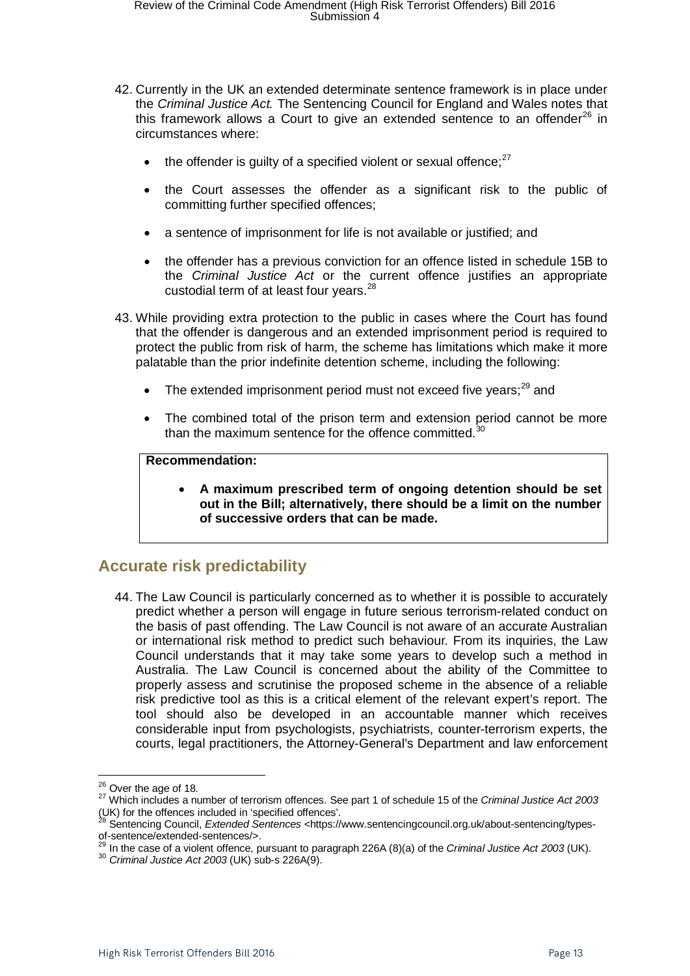- 42. Currently in the UK an extended determinate sentence framework is in place under the *Criminal Justice Act.* The Sentencing Council for England and Wales notes that this framework allows a Court to give an extended sentence to an offender $^{26}$  $^{26}$  $^{26}$  in circumstances where:
	- the offender is quilty of a specified violent or sexual offence; $27$
	- the Court assesses the offender as a significant risk to the public of committing further specified offences;
	- a sentence of imprisonment for life is not available or justified; and
	- the offender has a previous conviction for an offence listed in schedule 15B to the *Criminal Justice Act* or the current offence justifies an appropriate custodial term of at least four years.<sup>[28](#page-12-3)</sup>
- 43. While providing extra protection to the public in cases where the Court has found that the offender is dangerous and an extended imprisonment period is required to protect the public from risk of harm, the scheme has limitations which make it more palatable than the prior indefinite detention scheme, including the following:
	- The extended imprisonment period must not exceed five vears:<sup>[29](#page-12-4)</sup> and
	- The combined total of the prison term and extension period cannot be more than the maximum sentence for the offence committed.<sup>[30](#page-12-5)</sup>

#### **Recommendation:**

• **A maximum prescribed term of ongoing detention should be set out in the Bill; alternatively, there should be a limit on the number of successive orders that can be made.**

### <span id="page-12-0"></span>**Accurate risk predictability**

44. The Law Council is particularly concerned as to whether it is possible to accurately predict whether a person will engage in future serious terrorism-related conduct on the basis of past offending. The Law Council is not aware of an accurate Australian or international risk method to predict such behaviour. From its inquiries, the Law Council understands that it may take some years to develop such a method in Australia. The Law Council is concerned about the ability of the Committee to properly assess and scrutinise the proposed scheme in the absence of a reliable risk predictive tool as this is a critical element of the relevant expert's report. The tool should also be developed in an accountable manner which receives considerable input from psychologists, psychiatrists, counter-terrorism experts, the courts, legal practitioners, the Attorney-General's Department and law enforcement

<span id="page-12-1"></span> $26$  Over the age of 18.

<span id="page-12-2"></span><sup>26</sup> Over the age of 18. <sup>27</sup> Which includes a number of terrorism offences. See part 1 of schedule 15 of the *Criminal Justice Act 2003* (UK) for the offences included in 'specified offences'.

<sup>28</sup> Sentencing Council, *Extended Sentences* <https://www.sentencingcouncil.org.uk/about-sentencing/types-

<span id="page-12-5"></span><span id="page-12-4"></span><span id="page-12-3"></span>of-sentence/extended-sentences/>. <sup>29</sup> In the case of a violent offence, pursuant to paragraph 226A (8)(a) of the *Criminal Justice Act 2003* (UK). <sup>30</sup> *Criminal Justice Act 2003* (UK) sub-s 226A(9).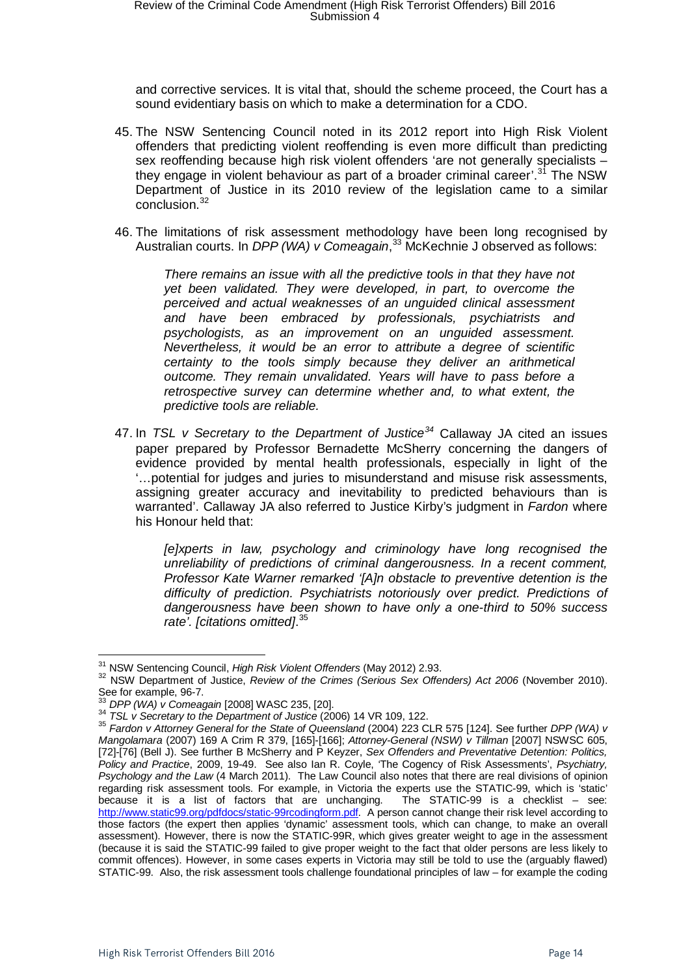and corrective services. It is vital that, should the scheme proceed, the Court has a sound evidentiary basis on which to make a determination for a CDO.

- 45. The NSW Sentencing Council noted in its 2012 report into High Risk Violent offenders that predicting violent reoffending is even more difficult than predicting sex reoffending because high risk violent offenders 'are not generally specialists – they engage in violent behaviour as part of a broader criminal career'.<sup>[31](#page-13-0)</sup> The NSW Department of Justice in its 2010 review of the legislation came to a similar conclusion.<sup>[32](#page-13-1)</sup>
- 46. The limitations of risk assessment methodology have been long recognised by Australian courts. In *DPP (WA) v Comeagain*, [33](#page-13-2) McKechnie J observed as follows:

*There remains an issue with all the predictive tools in that they have not yet been validated. They were developed, in part, to overcome the perceived and actual weaknesses of an unguided clinical assessment and have been embraced by professionals, psychiatrists and psychologists, as an improvement on an unguided assessment. Nevertheless, it would be an error to attribute a degree of scientific certainty to the tools simply because they deliver an arithmetical outcome. They remain unvalidated. Years will have to pass before a retrospective survey can determine whether and, to what extent, the predictive tools are reliable.*

47. In *TSL v Secretary to the Department of Justice[34](#page-13-3)* Callaway JA cited an issues paper prepared by Professor Bernadette McSherry concerning the dangers of evidence provided by mental health professionals, especially in light of the '…potential for judges and juries to misunderstand and misuse risk assessments, assigning greater accuracy and inevitability to predicted behaviours than is warranted'. Callaway JA also referred to Justice Kirby's judgment in *Fardon* where his Honour held that:

*[e]xperts in law, psychology and criminology have long recognised the unreliability of predictions of criminal dangerousness. In a recent comment, Professor Kate Warner remarked '[A]n obstacle to preventive detention is the difficulty of prediction. Psychiatrists notoriously over predict. Predictions of dangerousness have been shown to have only a one-third to 50% success rate'. [citations omitted]*. [35](#page-13-4)

<span id="page-13-1"></span><span id="page-13-0"></span><sup>&</sup>lt;sup>31</sup> NSW Sentencing Council, *High Risk Violent Offenders* (May 2012) 2.93.<br><sup>32</sup> NSW Department of Justice, *Review of the Crimes (Serious Sex Offenders) Act 2006* (November 2010).<br>See for example, 96-7.

<span id="page-13-4"></span><span id="page-13-3"></span><span id="page-13-2"></span> $^{33}$  DPP (WA) v Comeagain [2008] WASC 235, [20].<br> $^{34}$  TSL v Secretary to the Department of Justice (2006) 14 VR 109, 122.<br> $^{34}$  Fardon v Attorney General for the State of Queensland (2004) 223 CLR 575 [124]. See furt *Mangolamara* (2007) 169 A Crim R 379, [165]-[166]; *Attorney-General (NSW) v Tillman* [2007] NSWSC 605, [72]-[76] (Bell J). See further B McSherry and P Keyzer, *Sex Offenders and Preventative Detention: Politics, Policy and Practice*, 2009, 19-49. See also Ian R. Coyle, 'The Cogency of Risk Assessments', *Psychiatry, Psychology and the Law* (4 March 2011). The Law Council also notes that there are real divisions of opinion regarding risk assessment tools. For example, in Victoria the experts use the STATIC-99, which is 'static' because it is a list of factors that are unchanging. The STATIC-99 is a checklist – see: because it is a list of factors that are unchanging. [http://www.static99.org/pdfdocs/static-99rcodingform.pdf.](http://www.static99.org/pdfdocs/static-99rcodingform.pdf) A person cannot change their risk level according to those factors (the expert then applies 'dynamic' assessment tools, which can change, to make an overall assessment). However, there is now the STATIC-99R, which gives greater weight to age in the assessment (because it is said the STATIC-99 failed to give proper weight to the fact that older persons are less likely to commit offences). However, in some cases experts in Victoria may still be told to use the (arguably flawed) STATIC-99. Also, the risk assessment tools challenge foundational principles of law – for example the coding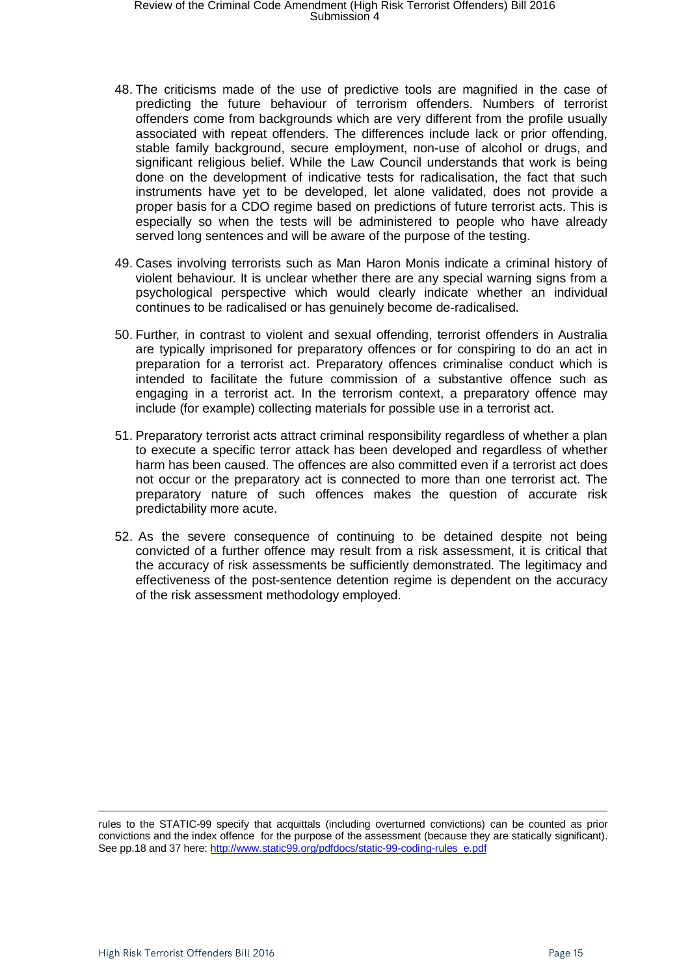### Review of the Criminal Code Amendment (High Risk Terrorist Offenders) Bill 2016<br>Submission 4

- 48. The criticisms made of the use of predictive tools are magnified in the case of predicting the future behaviour of terrorism offenders. Numbers of terrorist offenders come from backgrounds which are very different from the profile usually associated with repeat offenders. The differences include lack or prior offending, stable family background, secure employment, non-use of alcohol or drugs, and significant religious belief. While the Law Council understands that work is being done on the development of indicative tests for radicalisation, the fact that such instruments have yet to be developed, let alone validated, does not provide a proper basis for a CDO regime based on predictions of future terrorist acts. This is especially so when the tests will be administered to people who have already served long sentences and will be aware of the purpose of the testing.
- 49. Cases involving terrorists such as Man Haron Monis indicate a criminal history of violent behaviour. It is unclear whether there are any special warning signs from a psychological perspective which would clearly indicate whether an individual continues to be radicalised or has genuinely become de-radicalised.
- 50. Further, in contrast to violent and sexual offending, terrorist offenders in Australia are typically imprisoned for preparatory offences or for conspiring to do an act in preparation for a terrorist act. Preparatory offences criminalise conduct which is intended to facilitate the future commission of a substantive offence such as engaging in a terrorist act. In the terrorism context, a preparatory offence may include (for example) collecting materials for possible use in a terrorist act.
- 51. Preparatory terrorist acts attract criminal responsibility regardless of whether a plan to execute a specific terror attack has been developed and regardless of whether harm has been caused. The offences are also committed even if a terrorist act does not occur or the preparatory act is connected to more than one terrorist act. The preparatory nature of such offences makes the question of accurate risk predictability more acute.
- 52. As the severe consequence of continuing to be detained despite not being convicted of a further offence may result from a risk assessment, it is critical that the accuracy of risk assessments be sufficiently demonstrated. The legitimacy and effectiveness of the post-sentence detention regime is dependent on the accuracy of the risk assessment methodology employed.

rules to the STATIC-99 specify that acquittals (including overturned convictions) can be counted as prior convictions and the index offence for the purpose of the assessment (because they are statically significant). See pp.18 and 37 here: [http://www.static99.org/pdfdocs/static-99-coding-rules\\_e.pdf](http://www.static99.org/pdfdocs/static-99-coding-rules_e.pdf)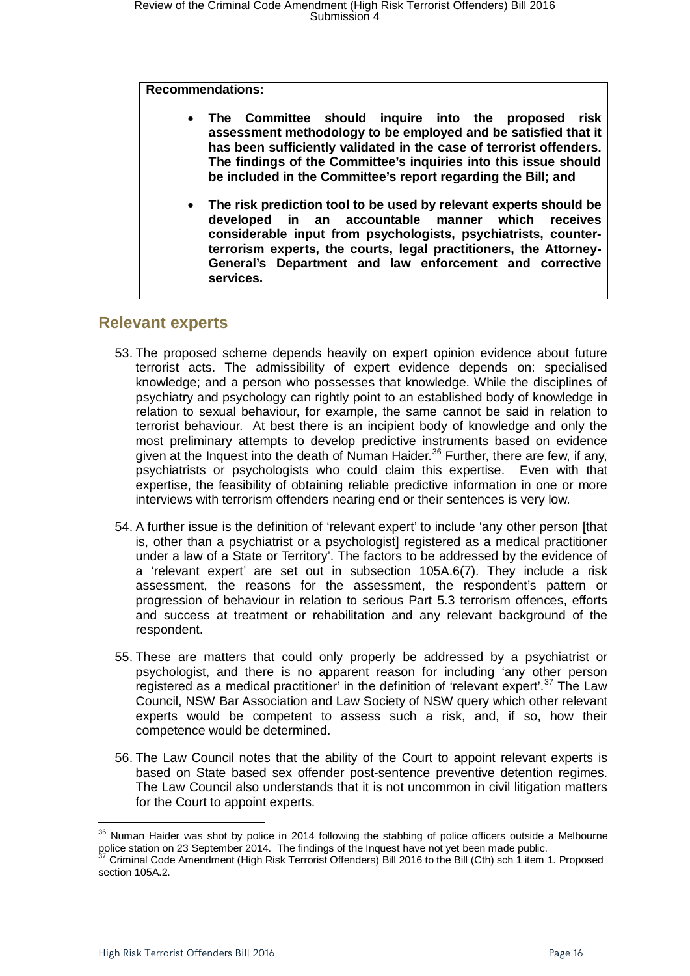#### **Recommendations:**

| $\bullet$ |                                                                     | The Committee should inquire into the proposed risk           |  |  |  |  |  |  |  |  |
|-----------|---------------------------------------------------------------------|---------------------------------------------------------------|--|--|--|--|--|--|--|--|
|           | assessment methodology to be employed and be satisfied that it      |                                                               |  |  |  |  |  |  |  |  |
|           | has been sufficiently validated in the case of terrorist offenders. |                                                               |  |  |  |  |  |  |  |  |
|           | The findings of the Committee's inquiries into this issue should    |                                                               |  |  |  |  |  |  |  |  |
|           |                                                                     | be included in the Committee's report regarding the Bill; and |  |  |  |  |  |  |  |  |

• **The risk prediction tool to be used by relevant experts should be developed in an accountable manner which receives considerable input from psychologists, psychiatrists, counterterrorism experts, the courts, legal practitioners, the Attorney-General's Department and law enforcement and corrective services.** 

### <span id="page-15-0"></span>**Relevant experts**

- 53. The proposed scheme depends heavily on expert opinion evidence about future terrorist acts. The admissibility of expert evidence depends on: specialised knowledge; and a person who possesses that knowledge. While the disciplines of psychiatry and psychology can rightly point to an established body of knowledge in relation to sexual behaviour, for example, the same cannot be said in relation to terrorist behaviour. At best there is an incipient body of knowledge and only the most preliminary attempts to develop predictive instruments based on evidence given at the Inquest into the death of Numan Haider.<sup>[36](#page-15-1)</sup> Further, there are few, if any, psychiatrists or psychologists who could claim this expertise. Even with that expertise, the feasibility of obtaining reliable predictive information in one or more interviews with terrorism offenders nearing end or their sentences is very low.
- 54. A further issue is the definition of 'relevant expert' to include 'any other person [that is, other than a psychiatrist or a psychologist] registered as a medical practitioner under a law of a State or Territory'. The factors to be addressed by the evidence of a 'relevant expert' are set out in subsection 105A.6(7). They include a risk assessment, the reasons for the assessment, the respondent's pattern or progression of behaviour in relation to serious Part 5.3 terrorism offences, efforts and success at treatment or rehabilitation and any relevant background of the respondent.
- 55. These are matters that could only properly be addressed by a psychiatrist or psychologist, and there is no apparent reason for including 'any other person registered as a medical practitioner' in the definition of 'relevant expert'.<sup>[37](#page-15-2)</sup> The Law Council, NSW Bar Association and Law Society of NSW query which other relevant experts would be competent to assess such a risk, and, if so, how their competence would be determined.
- 56. The Law Council notes that the ability of the Court to appoint relevant experts is based on State based sex offender post-sentence preventive detention regimes. The Law Council also understands that it is not uncommon in civil litigation matters for the Court to appoint experts.

<span id="page-15-1"></span> $36$  Numan Haider was shot by police in 2014 following the stabbing of police officers outside a Melbourne police station on 23 September 2014. The findings of the Inquest have not yet been made public.

<span id="page-15-2"></span><sup>37</sup> Criminal Code Amendment (High Risk Terrorist Offenders) Bill 2016 to the Bill (Cth) sch 1 item 1. Proposed section 105A.2.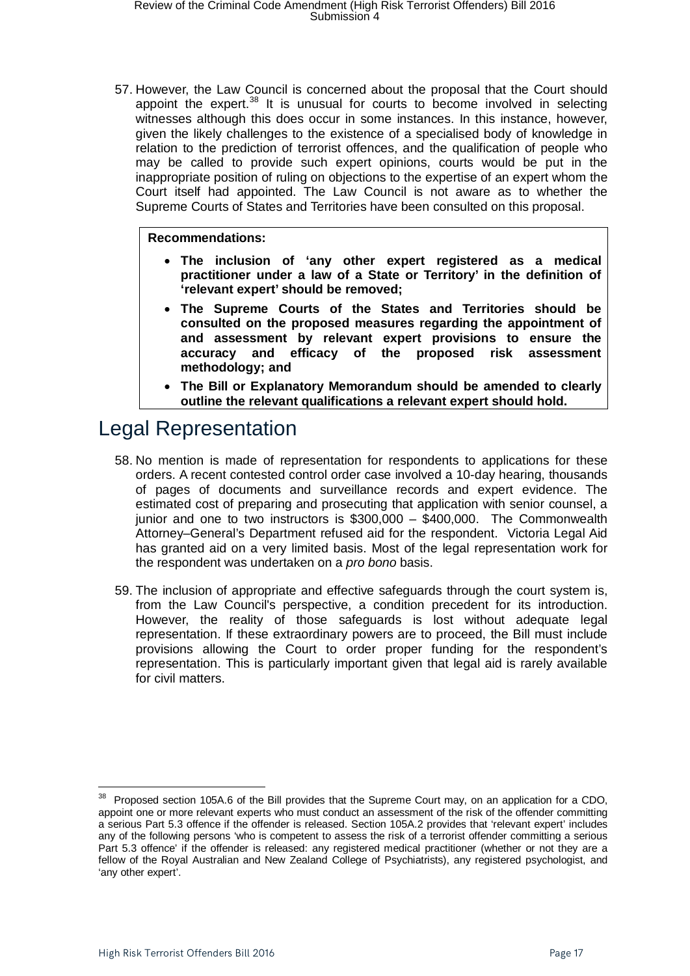57. However, the Law Council is concerned about the proposal that the Court should appoint the expert. $38$  It is unusual for courts to become involved in selecting witnesses although this does occur in some instances. In this instance, however, given the likely challenges to the existence of a specialised body of knowledge in relation to the prediction of terrorist offences, and the qualification of people who may be called to provide such expert opinions, courts would be put in the inappropriate position of ruling on objections to the expertise of an expert whom the Court itself had appointed. The Law Council is not aware as to whether the Supreme Courts of States and Territories have been consulted on this proposal.

#### **Recommendations:**

- **The inclusion of 'any other expert registered as a medical practitioner under a law of a State or Territory' in the definition of 'relevant expert' should be removed;**
- **The Supreme Courts of the States and Territories should be consulted on the proposed measures regarding the appointment of and assessment by relevant expert provisions to ensure the accuracy and efficacy of the proposed risk assessment methodology; and**
- **The Bill or Explanatory Memorandum should be amended to clearly outline the relevant qualifications a relevant expert should hold.**

### <span id="page-16-0"></span>Legal Representation

- 58. No mention is made of representation for respondents to applications for these orders. A recent contested control order case involved a 10-day hearing, thousands of pages of documents and surveillance records and expert evidence. The estimated cost of preparing and prosecuting that application with senior counsel, a junior and one to two instructors is \$300,000 – \$400,000. The Commonwealth Attorney–General's Department refused aid for the respondent. Victoria Legal Aid has granted aid on a very limited basis. Most of the legal representation work for the respondent was undertaken on a *pro bono* basis.
- 59. The inclusion of appropriate and effective safeguards through the court system is, from the Law Council's perspective, a condition precedent for its introduction. However, the reality of those safeguards is lost without adequate legal representation. If these extraordinary powers are to proceed, the Bill must include provisions allowing the Court to order proper funding for the respondent's representation. This is particularly important given that legal aid is rarely available for civil matters.

<span id="page-16-1"></span><sup>&</sup>lt;sup>38</sup> Proposed section 105A.6 of the Bill provides that the Supreme Court may, on an application for a CDO, appoint one or more relevant experts who must conduct an assessment of the risk of the offender committing a serious Part 5.3 offence if the offender is released. Section 105A.2 provides that 'relevant expert' includes any of the following persons 'who is competent to assess the risk of a terrorist offender committing a serious Part 5.3 offence' if the offender is released: any registered medical practitioner (whether or not they are a fellow of the Royal Australian and New Zealand College of Psychiatrists), any registered psychologist, and 'any other expert'.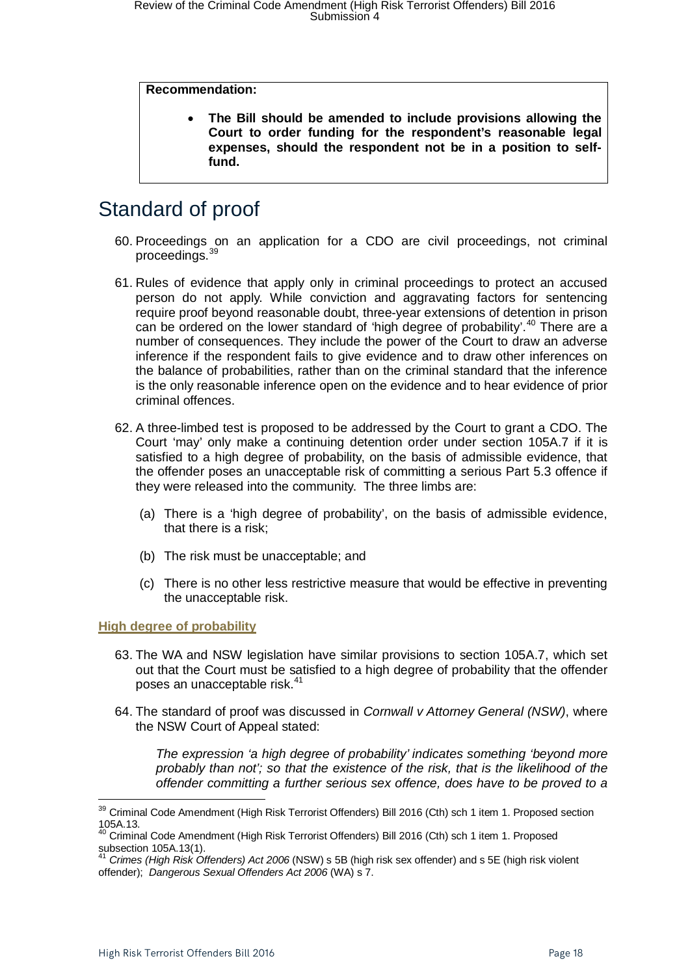#### **Recommendation:**

• **The Bill should be amended to include provisions allowing the Court to order funding for the respondent's reasonable legal expenses, should the respondent not be in a position to selffund.**

### <span id="page-17-0"></span>Standard of proof

- 60. Proceedings on an application for a CDO are civil proceedings, not criminal proceedings.[39](#page-17-2)
- 61. Rules of evidence that apply only in criminal proceedings to protect an accused person do not apply. While conviction and aggravating factors for sentencing require proof beyond reasonable doubt, three-year extensions of detention in prison can be ordered on the lower standard of 'high degree of probability'.<sup>[40](#page-17-3)</sup> There are a number of consequences. They include the power of the Court to draw an adverse inference if the respondent fails to give evidence and to draw other inferences on the balance of probabilities, rather than on the criminal standard that the inference is the only reasonable inference open on the evidence and to hear evidence of prior criminal offences.
- 62. A three-limbed test is proposed to be addressed by the Court to grant a CDO. The Court 'may' only make a continuing detention order under section 105A.7 if it is satisfied to a high degree of probability, on the basis of admissible evidence, that the offender poses an unacceptable risk of committing a serious Part 5.3 offence if they were released into the community. The three limbs are:
	- (a) There is a 'high degree of probability', on the basis of admissible evidence, that there is a risk;
	- (b) The risk must be unacceptable; and
	- (c) There is no other less restrictive measure that would be effective in preventing the unacceptable risk.

#### <span id="page-17-1"></span>**High degree of probability**

- 63. The WA and NSW legislation have similar provisions to section 105A.7, which set out that the Court must be satisfied to a high degree of probability that the offender poses an unacceptable risk.<sup>[41](#page-17-4)</sup>
- 64. The standard of proof was discussed in *Cornwall v Attorney General (NSW)*, where the NSW Court of Appeal stated:

*The expression 'a high degree of probability' indicates something 'beyond more probably than not'; so that the existence of the risk, that is the likelihood of the offender committing a further serious sex offence, does have to be proved to a* 

<span id="page-17-2"></span><sup>&</sup>lt;sup>39</sup> Criminal Code Amendment (High Risk Terrorist Offenders) Bill 2016 (Cth) sch 1 item 1. Proposed section 105A.13.

<span id="page-17-3"></span><sup>&</sup>lt;sup>40</sup> Criminal Code Amendment (High Risk Terrorist Offenders) Bill 2016 (Cth) sch 1 item 1. Proposed subsection 105A.13(1).

<span id="page-17-4"></span><sup>41</sup> *Crimes (High Risk Offenders) Act 2006* (NSW) s 5B (high risk sex offender) and s 5E (high risk violent offender); *Dangerous Sexual Offenders Act 2006* (WA) s 7.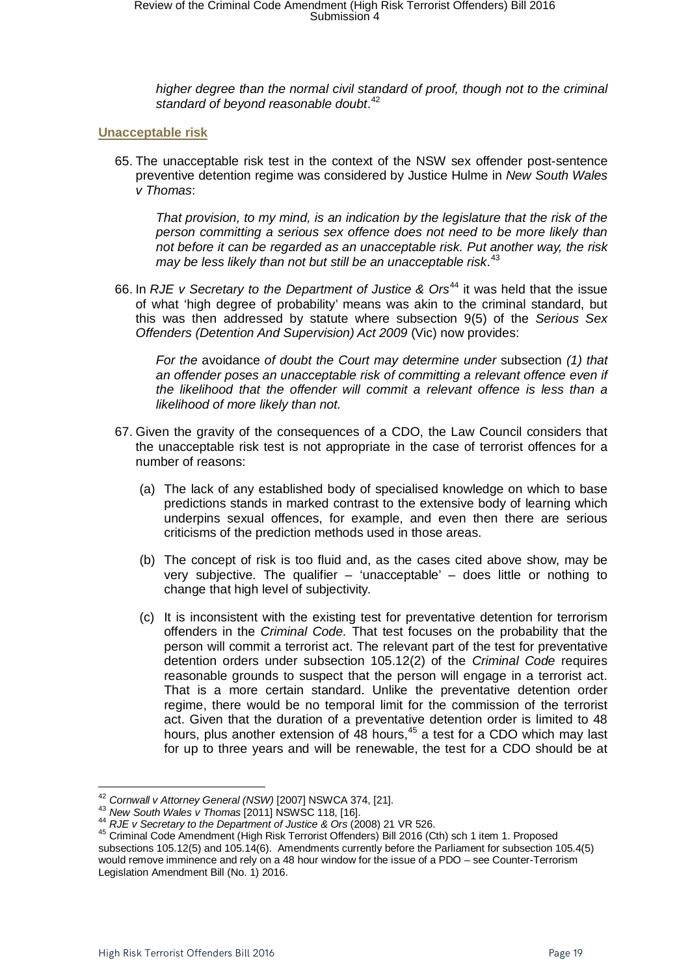*higher degree than the normal civil standard of proof, though not to the criminal standard of beyond reasonable doubt*. [42](#page-18-1)

#### <span id="page-18-0"></span>**Unacceptable risk**

65. The unacceptable risk test in the context of the NSW sex offender post-sentence preventive detention regime was considered by Justice Hulme in *New South Wales v Thomas*:

*That provision, to my mind, is an indication by the legislature that the risk of the person committing a serious sex offence does not need to be more likely than not before it can be regarded as an unacceptable risk. Put another way, the risk may be less likely than not but still be an unacceptable risk*. [43](#page-18-2)

66. In *RJE v Secretary to the Department of Justice & Ors<sup>[44](#page-18-3)</sup> it was held that the issue* of what 'high degree of probability' means was akin to the criminal standard, but this was then addressed by statute where subsection 9(5) of the *Serious Sex Offenders (Detention And Supervision) Act 2009* (Vic) now provides:

*For the* avoidance *of doubt the Court may determine under* subsection *(1) that*  an offender poses an unacceptable risk of committing a relevant offence even if *the likelihood that the offender will commit a relevant offence is less than a likelihood of more likely than not.*

- 67. Given the gravity of the consequences of a CDO, the Law Council considers that the unacceptable risk test is not appropriate in the case of terrorist offences for a number of reasons:
	- (a) The lack of any established body of specialised knowledge on which to base predictions stands in marked contrast to the extensive body of learning which underpins sexual offences, for example, and even then there are serious criticisms of the prediction methods used in those areas.
	- (b) The concept of risk is too fluid and, as the cases cited above show, may be very subjective. The qualifier  $-$  'unacceptable'  $-$  does little or nothing to change that high level of subjectivity.
	- (c) It is inconsistent with the existing test for preventative detention for terrorism offenders in the *Criminal Code.* That test focuses on the probability that the person will commit a terrorist act. The relevant part of the test for preventative detention orders under subsection 105.12(2) of the *Criminal Code* requires reasonable grounds to suspect that the person will engage in a terrorist act. That is a more certain standard. Unlike the preventative detention order regime, there would be no temporal limit for the commission of the terrorist act. Given that the duration of a preventative detention order is limited to 48 hours, plus another extension of  $48$  hours,<sup>[45](#page-18-4)</sup> a test for a CDO which may last for up to three years and will be renewable, the test for a CDO should be at

<span id="page-18-2"></span>

<span id="page-18-4"></span><span id="page-18-3"></span>

<span id="page-18-1"></span><sup>&</sup>lt;sup>42</sup> Cornwall v Attorney General (NSW) [2007] NSWCA 374, [21].<br><sup>43</sup> New South Wales v Thomas [2011] NSWSC 118, [16].<br><sup>44</sup> RJE v Secretary to the Department of Justice & Ors (2008) 21 VR 526.<br><sup>45</sup> Criminal Code Amendment ( subsections 105.12(5) and 105.14(6). Amendments currently before the Parliament for subsection 105.4(5) would remove imminence and rely on a 48 hour window for the issue of a PDO – see Counter-Terrorism Legislation Amendment Bill (No. 1) 2016.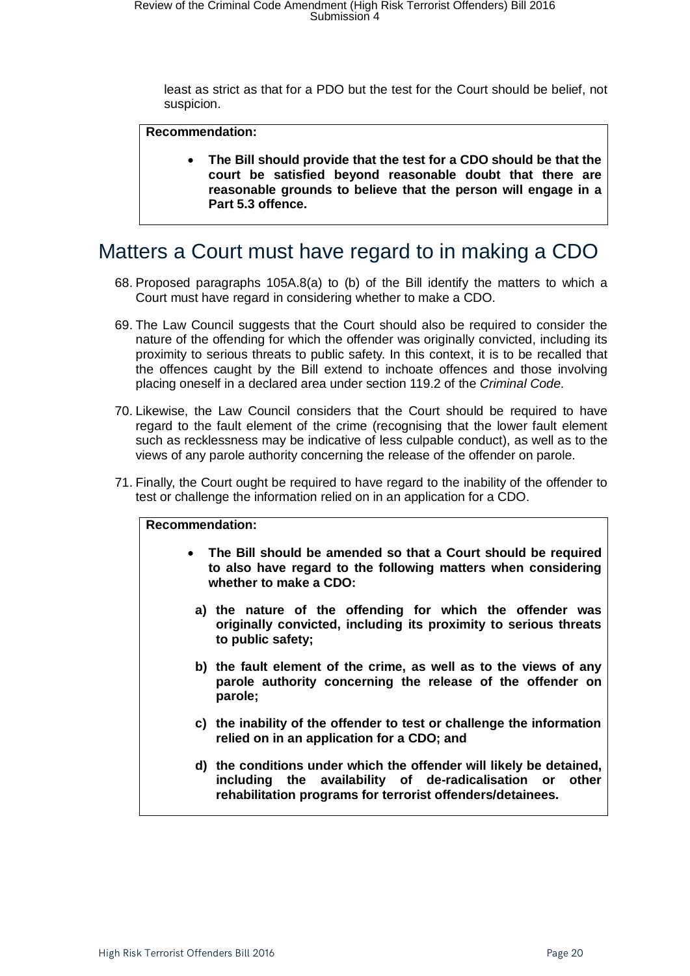least as strict as that for a PDO but the test for the Court should be belief, not suspicion.

#### **Recommendation:**

• **The Bill should provide that the test for a CDO should be that the court be satisfied beyond reasonable doubt that there are reasonable grounds to believe that the person will engage in a Part 5.3 offence.**

### <span id="page-19-0"></span>Matters a Court must have regard to in making a CDO

- 68. Proposed paragraphs 105A.8(a) to (b) of the Bill identify the matters to which a Court must have regard in considering whether to make a CDO.
- 69. The Law Council suggests that the Court should also be required to consider the nature of the offending for which the offender was originally convicted, including its proximity to serious threats to public safety. In this context, it is to be recalled that the offences caught by the Bill extend to inchoate offences and those involving placing oneself in a declared area under section 119.2 of the *Criminal Code*.
- 70. Likewise, the Law Council considers that the Court should be required to have regard to the fault element of the crime (recognising that the lower fault element such as recklessness may be indicative of less culpable conduct), as well as to the views of any parole authority concerning the release of the offender on parole.
- 71. Finally, the Court ought be required to have regard to the inability of the offender to test or challenge the information relied on in an application for a CDO.

#### **Recommendation:**

- **The Bill should be amended so that a Court should be required to also have regard to the following matters when considering whether to make a CDO:**
	- **a) the nature of the offending for which the offender was originally convicted, including its proximity to serious threats to public safety;**
	- **b) the fault element of the crime, as well as to the views of any parole authority concerning the release of the offender on parole;**
	- **c) the inability of the offender to test or challenge the information relied on in an application for a CDO; and**
	- **d) the conditions under which the offender will likely be detained, including the availability of de-radicalisation or other rehabilitation programs for terrorist offenders/detainees.**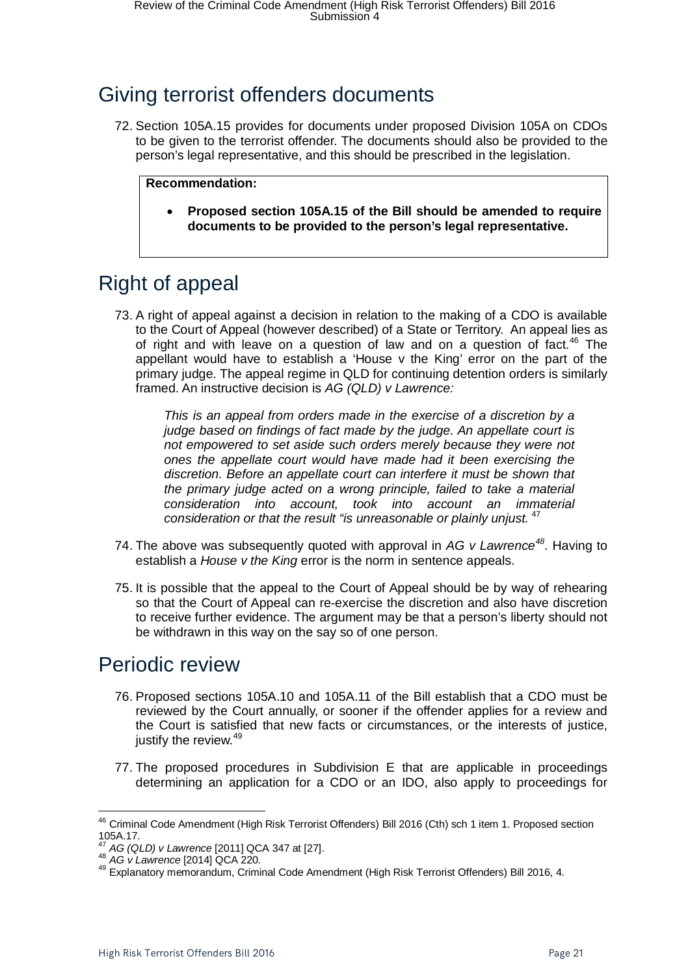# <span id="page-20-0"></span>Giving terrorist offenders documents

72. Section 105A.15 provides for documents under proposed Division 105A on CDOs to be given to the terrorist offender. The documents should also be provided to the person's legal representative, and this should be prescribed in the legislation.

#### **Recommendation:**

• **Proposed section 105A.15 of the Bill should be amended to require documents to be provided to the person's legal representative.**

### <span id="page-20-1"></span>Right of appeal

73. A right of appeal against a decision in relation to the making of a CDO is available to the Court of Appeal (however described) of a State or Territory. An appeal lies as of right and with leave on a question of law and on a question of fact. $46$  The appellant would have to establish a 'House v the King' error on the part of the primary judge. The appeal regime in QLD for continuing detention orders is similarly framed. An instructive decision is *AG (QLD) v Lawrence:*

*This is an appeal from orders made in the exercise of a discretion by a judge based on findings of fact made by the judge. An appellate court is not empowered to set aside such orders merely because they were not ones the appellate court would have made had it been exercising the discretion. Before an appellate court can interfere it must be shown that the primary judge acted on a wrong principle, failed to take a material consideration into account, took into account an immaterial consideration or that the result "is unreasonable or plainly unjust.* [47](#page-20-4)

- 74. The above was subsequently quoted with approval in *AG v Lawrence[48](#page-20-5)*. Having to establish a *House v the King* error is the norm in sentence appeals.
- 75. It is possible that the appeal to the Court of Appeal should be by way of rehearing so that the Court of Appeal can re-exercise the discretion and also have discretion to receive further evidence. The argument may be that a person's liberty should not be withdrawn in this way on the say so of one person.

### <span id="page-20-2"></span>Periodic review

- 76. Proposed sections 105A.10 and 105A.11 of the Bill establish that a CDO must be reviewed by the Court annually, or sooner if the offender applies for a review and the Court is satisfied that new facts or circumstances, or the interests of justice, justify the review.<sup>[49](#page-20-6)</sup>
- 77. The proposed procedures in Subdivision E that are applicable in proceedings determining an application for a CDO or an IDO, also apply to proceedings for

<span id="page-20-3"></span><sup>&</sup>lt;sup>46</sup> Criminal Code Amendment (High Risk Terrorist Offenders) Bill 2016 (Cth) sch 1 item 1. Proposed section 105A.17.<br><sup>47</sup> AG (QLD) v Lawrence [2011] QCA 347 at [27].

<span id="page-20-6"></span><span id="page-20-5"></span><span id="page-20-4"></span><sup>47</sup> *AG (QLD) v Lawrence* [2011] QCA 347 at [27]. <sup>48</sup> *AG v Lawrence* [2014] QCA 220. <sup>49</sup> Explanatory memorandum, Criminal Code Amendment (High Risk Terrorist Offenders) Bill 2016, 4.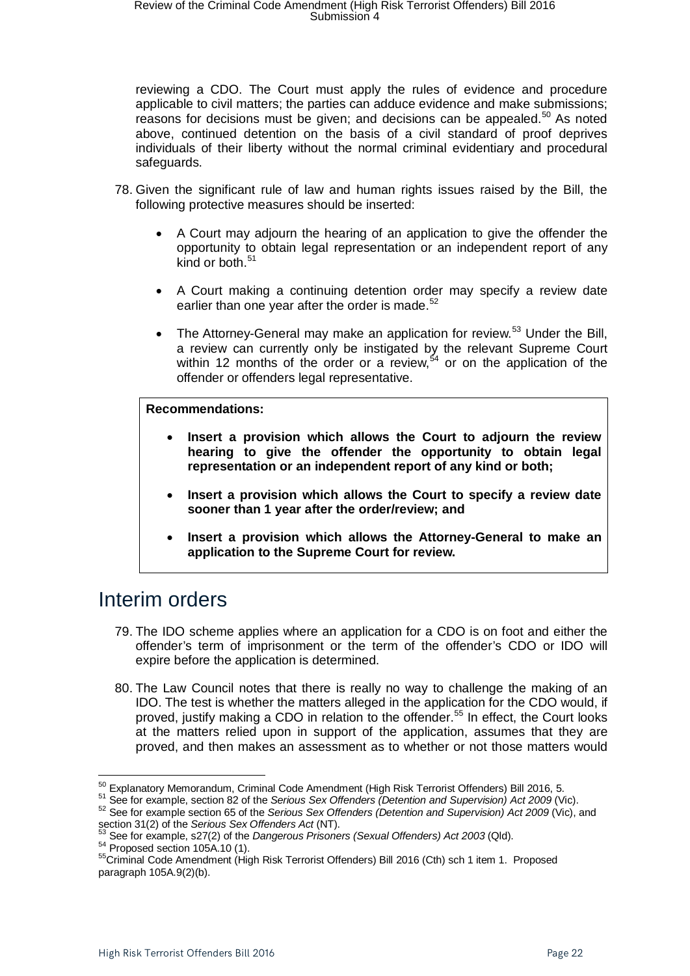reviewing a CDO. The Court must apply the rules of evidence and procedure applicable to civil matters; the parties can adduce evidence and make submissions; reasons for decisions must be given; and decisions can be appealed.<sup>[50](#page-21-1)</sup> As noted above, continued detention on the basis of a civil standard of proof deprives individuals of their liberty without the normal criminal evidentiary and procedural safeguards.

- 78. Given the significant rule of law and human rights issues raised by the Bill, the following protective measures should be inserted:
	- A Court may adjourn the hearing of an application to give the offender the opportunity to obtain legal representation or an independent report of any kind or both. $51$
	- A Court making a continuing detention order may specify a review date earlier than one year after the order is made.<sup>[52](#page-21-3)</sup>
	- The Attorney-General may make an application for review.<sup>[53](#page-21-4)</sup> Under the Bill, a review can currently only be instigated by the relevant Supreme Court within 12 months of the order or a review,  $54$  or on the application of the offender or offenders legal representative.

#### **Recommendations:**

- **Insert a provision which allows the Court to adjourn the review hearing to give the offender the opportunity to obtain legal representation or an independent report of any kind or both;**
- **Insert a provision which allows the Court to specify a review date sooner than 1 year after the order/review; and**
- **Insert a provision which allows the Attorney-General to make an application to the Supreme Court for review.**

### <span id="page-21-0"></span>Interim orders

- 79. The IDO scheme applies where an application for a CDO is on foot and either the offender's term of imprisonment or the term of the offender's CDO or IDO will expire before the application is determined.
- 80. The Law Council notes that there is really no way to challenge the making of an IDO. The test is whether the matters alleged in the application for the CDO would, if proved, justify making a CDO in relation to the offender. [55](#page-21-6) In effect, the Court looks at the matters relied upon in support of the application, assumes that they are proved, and then makes an assessment as to whether or not those matters would

<span id="page-21-3"></span>

<span id="page-21-2"></span><span id="page-21-1"></span><sup>&</sup>lt;sup>50</sup> Explanatory Memorandum, Criminal Code Amendment (High Risk Terrorist Offenders) Bill 2016, 5.<br><sup>51</sup> See for example, section 82 of the *Serious Sex Offenders (Detention and Supervision) Act 2009* (Vic).<br><sup>52</sup> See for e

<span id="page-21-4"></span> $^{53}$  See for example, s27(2) of the *Dangerous Prisoners (Sexual Offenders) Act* 2*003* (Qld).<br><sup>54</sup> Proposed section 105A.10 (1).<br><sup>55</sup>Criminal Code Amendment (High Risk Terrorist Offenders) Bill 2016 (Cth) sch 1 item 1.

<span id="page-21-6"></span><span id="page-21-5"></span>paragraph 105A.9(2)(b).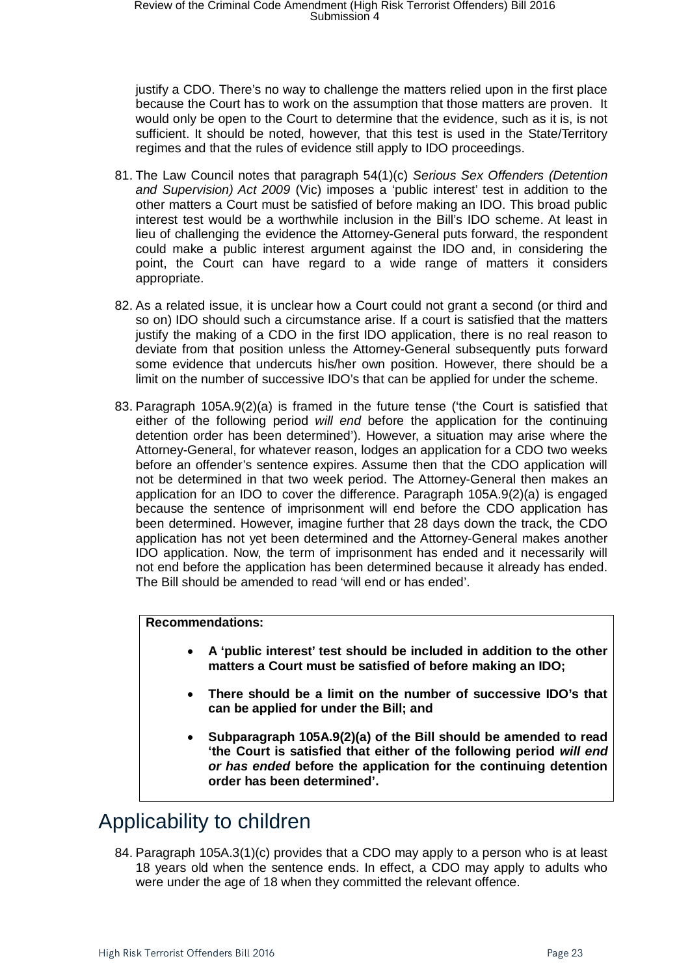justify a CDO. There's no way to challenge the matters relied upon in the first place because the Court has to work on the assumption that those matters are proven. It would only be open to the Court to determine that the evidence, such as it is, is not sufficient. It should be noted, however, that this test is used in the State/Territory regimes and that the rules of evidence still apply to IDO proceedings.

- 81. The Law Council notes that paragraph 54(1)(c) *Serious Sex Offenders (Detention and Supervision) Act 2009* (Vic) imposes a 'public interest' test in addition to the other matters a Court must be satisfied of before making an IDO. This broad public interest test would be a worthwhile inclusion in the Bill's IDO scheme. At least in lieu of challenging the evidence the Attorney-General puts forward, the respondent could make a public interest argument against the IDO and, in considering the point, the Court can have regard to a wide range of matters it considers appropriate.
- 82. As a related issue, it is unclear how a Court could not grant a second (or third and so on) IDO should such a circumstance arise. If a court is satisfied that the matters justify the making of a CDO in the first IDO application, there is no real reason to deviate from that position unless the Attorney-General subsequently puts forward some evidence that undercuts his/her own position. However, there should be a limit on the number of successive IDO's that can be applied for under the scheme.
- 83. Paragraph 105A.9(2)(a) is framed in the future tense ('the Court is satisfied that either of the following period *will end* before the application for the continuing detention order has been determined'). However, a situation may arise where the Attorney-General, for whatever reason, lodges an application for a CDO two weeks before an offender's sentence expires. Assume then that the CDO application will not be determined in that two week period. The Attorney-General then makes an application for an IDO to cover the difference. Paragraph 105A.9(2)(a) is engaged because the sentence of imprisonment will end before the CDO application has been determined. However, imagine further that 28 days down the track, the CDO application has not yet been determined and the Attorney-General makes another IDO application. Now, the term of imprisonment has ended and it necessarily will not end before the application has been determined because it already has ended. The Bill should be amended to read 'will end or has ended'.

#### **Recommendations:**

- **A 'public interest' test should be included in addition to the other matters a Court must be satisfied of before making an IDO;**
- **There should be a limit on the number of successive IDO's that can be applied for under the Bill; and**
- **Subparagraph 105A.9(2)(a) of the Bill should be amended to read 'the Court is satisfied that either of the following period** *will end or has ended* **before the application for the continuing detention order has been determined'.**

# <span id="page-22-0"></span>Applicability to children

84. Paragraph 105A.3(1)(c) provides that a CDO may apply to a person who is at least 18 years old when the sentence ends. In effect, a CDO may apply to adults who were under the age of 18 when they committed the relevant offence.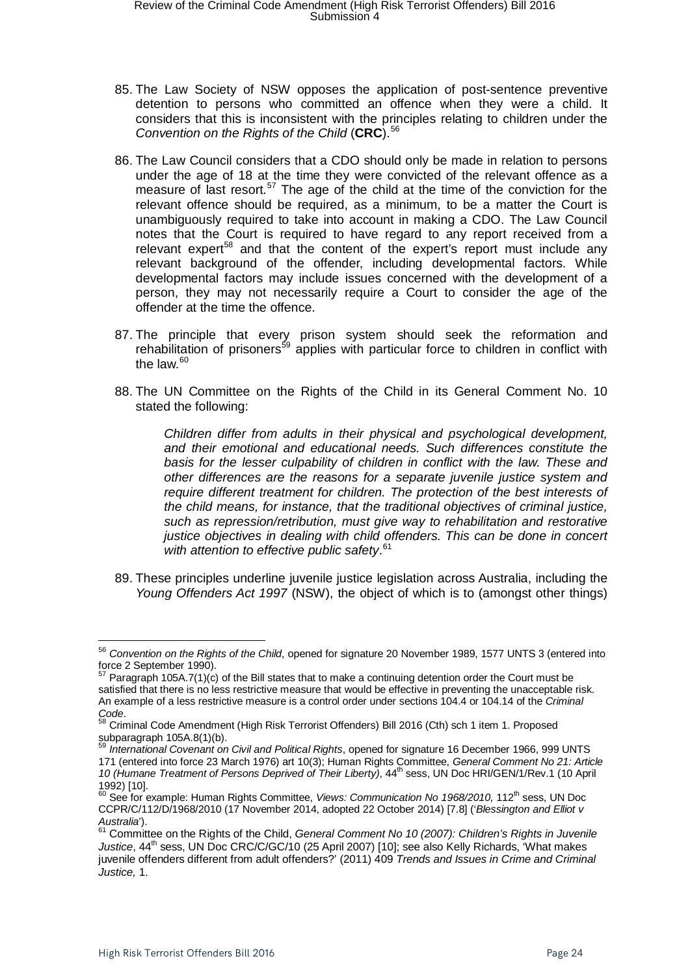- 85. The Law Society of NSW opposes the application of post-sentence preventive detention to persons who committed an offence when they were a child. It considers that this is inconsistent with the principles relating to children under the *Convention on the Rights of the Child* (**CRC**).[56](#page-23-0)
- 86. The Law Council considers that a CDO should only be made in relation to persons under the age of 18 at the time they were convicted of the relevant offence as a measure of last resort.<sup>[57](#page-23-1)</sup> The age of the child at the time of the conviction for the relevant offence should be required, as a minimum, to be a matter the Court is unambiguously required to take into account in making a CDO. The Law Council notes that the Court is required to have regard to any report received from a relevant expert<sup>[58](#page-23-2)</sup> and that the content of the expert's report must include any relevant background of the offender, including developmental factors. While developmental factors may include issues concerned with the development of a person, they may not necessarily require a Court to consider the age of the offender at the time the offence.
- 87. The principle that every prison system should seek the reformation and rehabilitation of prisoners<sup>[59](#page-23-3)</sup> applies with particular force to children in conflict with the law. $60$
- 88. The UN Committee on the Rights of the Child in its General Comment No. 10 stated the following:

*Children differ from adults in their physical and psychological development, and their emotional and educational needs. Such differences constitute the basis for the lesser culpability of children in conflict with the law. These and other differences are the reasons for a separate juvenile justice system and require different treatment for children. The protection of the best interests of the child means, for instance, that the traditional objectives of criminal justice, such as repression/retribution, must give way to rehabilitation and restorative justice objectives in dealing with child offenders. This can be done in concert with attention to effective public safety*. [61](#page-23-5)

89. These principles underline juvenile justice legislation across Australia, including the *Young Offenders Act 1997* (NSW), the object of which is to (amongst other things)

<span id="page-23-0"></span><sup>56</sup> *Convention on the Rights of the Child*, opened for signature 20 November 1989, 1577 UNTS 3 (entered into force 2 September 1990).

<span id="page-23-1"></span><sup>57</sup> Paragraph 105A.7(1)(c) of the Bill states that to make a continuing detention order the Court must be satisfied that there is no less restrictive measure that would be effective in preventing the unacceptable risk. An example of a less restrictive measure is a control order under sections 104.4 or 104.14 of the *Criminal* 

<span id="page-23-2"></span>*Code*. <sup>58</sup> Criminal Code Amendment (High Risk Terrorist Offenders) Bill 2016 (Cth) sch 1 item 1. Proposed subparagraph 105A.8(1)(b).

<span id="page-23-3"></span><sup>59</sup> *International Covenant on Civil and Political Rights*, opened for signature 16 December 1966, 999 UNTS 171 (entered into force 23 March 1976) art 10(3); Human Rights Committee, *General Comment No 21: Article*  10 (Humane Treatment of Persons Deprived of Their Liberty), 44<sup>th</sup> sess, UN Doc HRI/GEN/1/Rev.1 (10 April 1992) [10].

<span id="page-23-4"></span><sup>60</sup> See for example: Human Rights Committee, *Views: Communication No 1968/2010,* 112th sess, UN Doc CCPR/C/112/D/1968/2010 (17 November 2014, adopted 22 October 2014) [7.8] ('*Blessington and Elliot v* 

<span id="page-23-5"></span>*Australia*').<br><sup>61</sup> Committee on the Rights of the Child, *General Comment No 10 (2007): Children's Rights in Juvenile Justice*, 44<sup>th</sup> sess, UN Doc CRC/C/GC/10 (25 April 2007) [10]; see also Kelly Richards, 'What makes juvenile offenders different from adult offenders?' (2011) 409 *Trends and Issues in Crime and Criminal Justice,* 1.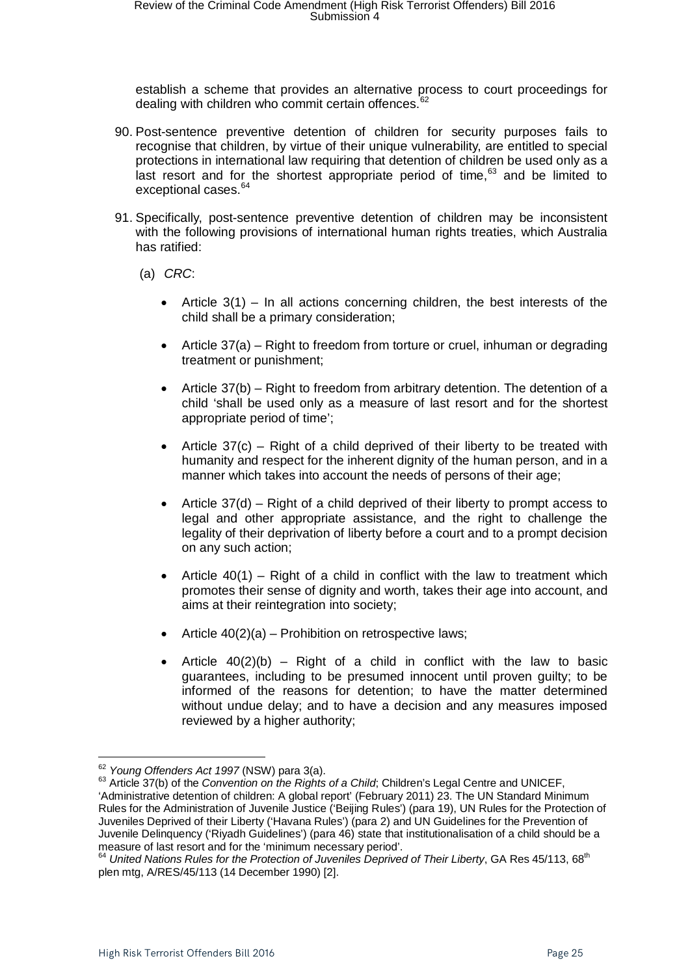establish a scheme that provides an alternative process to court proceedings for dealing with children who commit certain offences.<sup>[62](#page-24-0)</sup>

- 90. Post-sentence preventive detention of children for security purposes fails to recognise that children, by virtue of their unique vulnerability, are entitled to special protections in international law requiring that detention of children be used only as a last resort and for the shortest appropriate period of time, $63$  and be limited to exceptional cases.<sup>[64](#page-24-2)</sup>
- 91. Specifically, post-sentence preventive detention of children may be inconsistent with the following provisions of international human rights treaties, which Australia has ratified:
	- (a) *CRC*:
		- Article  $3(1)$  In all actions concerning children, the best interests of the child shall be a primary consideration;
		- Article 37(a) Right to freedom from torture or cruel, inhuman or degrading treatment or punishment;
		- Article 37(b) Right to freedom from arbitrary detention. The detention of a child 'shall be used only as a measure of last resort and for the shortest appropriate period of time';
		- Article  $37(c)$  Right of a child deprived of their liberty to be treated with humanity and respect for the inherent dignity of the human person, and in a manner which takes into account the needs of persons of their age;
		- Article 37(d) Right of a child deprived of their liberty to prompt access to legal and other appropriate assistance, and the right to challenge the legality of their deprivation of liberty before a court and to a prompt decision on any such action;
		- Article  $40(1)$  Right of a child in conflict with the law to treatment which promotes their sense of dignity and worth, takes their age into account, and aims at their reintegration into society;
		- Article  $40(2)(a)$  Prohibition on retrospective laws;
		- Article  $40(2)(b)$  Right of a child in conflict with the law to basic guarantees, including to be presumed innocent until proven guilty; to be informed of the reasons for detention; to have the matter determined without undue delay; and to have a decision and any measures imposed reviewed by a higher authority;

<span id="page-24-1"></span><span id="page-24-0"></span><sup>&</sup>lt;sup>62</sup> Young Offenders Act 1997 (NSW) para 3(a).<br><sup>63</sup> Article 37(b) of the *Convention on the Rights of a Child*; Children's Legal Centre and UNICEF, 'Administrative detention of children: A global report' (February 2011) 23. The UN Standard Minimum Rules for the Administration of Juvenile Justice ('Beijing Rules') (para 19), UN Rules for the Protection of Juveniles Deprived of their Liberty ('Havana Rules') (para 2) and UN Guidelines for the Prevention of Juvenile Delinquency ('Riyadh Guidelines') (para 46) state that institutionalisation of a child should be a

<span id="page-24-2"></span>measure of last resort and for the *Trummannel Corpius* period of Their Liberty, GA Res 45/113, 68<sup>th</sup> plen mtg, A/RES/45/113 (14 December 1990) [2].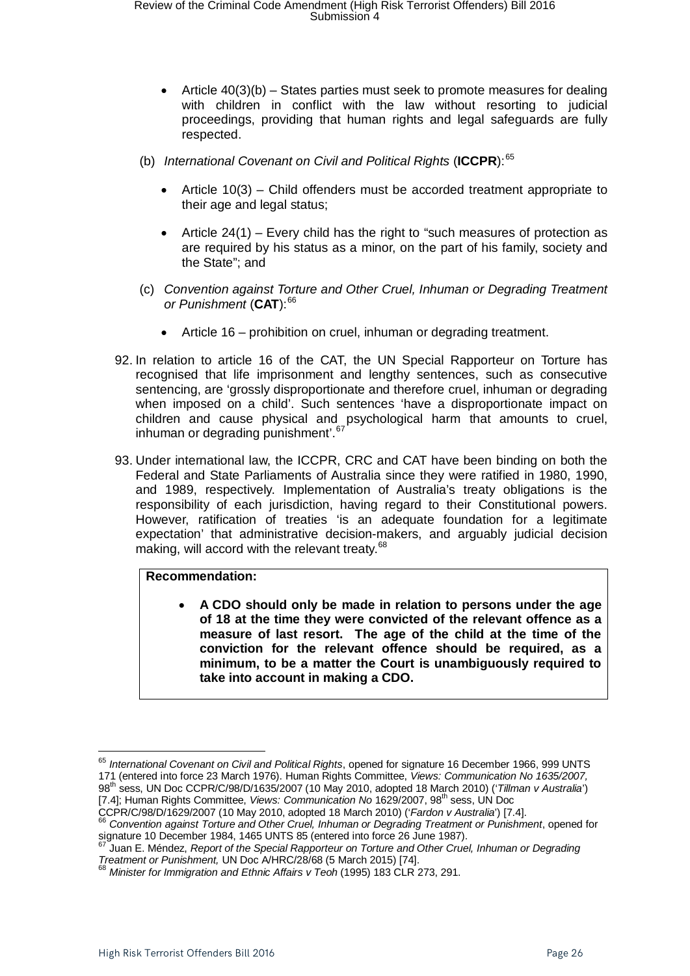- Article 40(3)(b) States parties must seek to promote measures for dealing with children in conflict with the law without resorting to judicial proceedings, providing that human rights and legal safeguards are fully respected.
- (b) *International Covenant on Civil and Political Rights* (**ICCPR**): [65](#page-25-0)
	- Article 10(3) Child offenders must be accorded treatment appropriate to their age and legal status;
	- Article 24(1) Every child has the right to "such measures of protection as are required by his status as a minor, on the part of his family, society and the State"; and
- (c) *Convention against Torture and Other Cruel, Inhuman or Degrading Treatment or Punishment* (**CAT**):[66](#page-25-1)
	- Article 16 prohibition on cruel, inhuman or degrading treatment.
- 92. In relation to article 16 of the CAT, the UN Special Rapporteur on Torture has recognised that life imprisonment and lengthy sentences, such as consecutive sentencing, are 'grossly disproportionate and therefore cruel, inhuman or degrading when imposed on a child'. Such sentences 'have a disproportionate impact on children and cause physical and psychological harm that amounts to cruel, inhuman or degrading punishment'.<sup>[67](#page-25-2)</sup>
- 93. Under international law, the ICCPR, CRC and CAT have been binding on both the Federal and State Parliaments of Australia since they were ratified in 1980, 1990, and 1989, respectively. Implementation of Australia's treaty obligations is the responsibility of each jurisdiction, having regard to their Constitutional powers. However, ratification of treaties 'is an adequate foundation for a legitimate expectation' that administrative decision-makers, and arguably judicial decision making, will accord with the relevant treaty.<sup>[68](#page-25-3)</sup>

#### **Recommendation:**

• **A CDO should only be made in relation to persons under the age of 18 at the time they were convicted of the relevant offence as a measure of last resort. The age of the child at the time of the conviction for the relevant offence should be required, as a minimum, to be a matter the Court is unambiguously required to take into account in making a CDO.** 

<span id="page-25-0"></span><sup>65</sup> *International Covenant on Civil and Political Rights*, opened for signature 16 December 1966, 999 UNTS 171 (entered into force 23 March 1976). Human Rights Committee, *Views: Communication No 1635/2007,*  98th sess, UN Doc CCPR/C/98/D/1635/2007 (10 May 2010, adopted 18 March 2010) ('*Tillman v Australia*') [7.4]; Human Rights Committee, *Views: Communication No* 1629/2007, 98<sup>th</sup> sess, UN Doc<br>CCPR/C/98/D/1629/2007 (10 May 2010, adopted 18 March 2010) ('*Fardon v Australia*') [7.4].

<span id="page-25-1"></span><sup>&</sup>lt;sup>66</sup> Convention against Torture and Other Cruel, Inhuman or Degrading Treatment or Punishment, opened for<br>signature 10 December 1984, 1465 UNTS 85 (entered into force 26 June 1987).

<span id="page-25-2"></span> $^{67}$ Juan E. Méndez, *Report of the Special Rapporteur on Torture and Other Cruel, Inhuman or Degrading*<br>*Treatment or Punishment*, UN Doc A/HRC/28/68 (5 March 2015) [74].

<span id="page-25-3"></span>*Treatment or Punisment, 2002* Ethnic Affairs v Teoh (1995) 183 CLR 273, 291.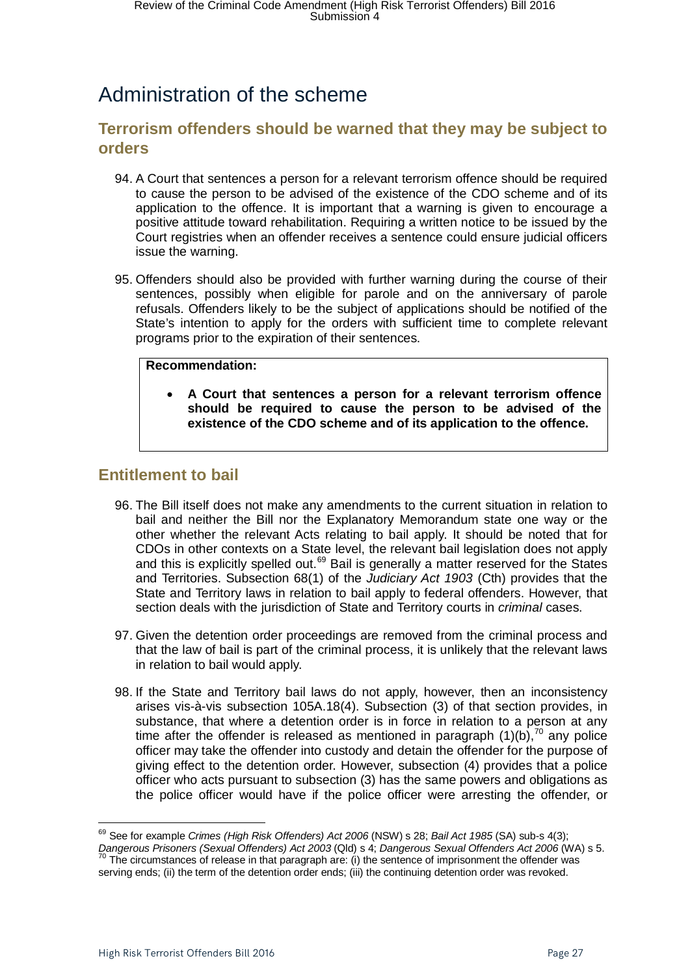# <span id="page-26-0"></span>Administration of the scheme

### <span id="page-26-1"></span>**Terrorism offenders should be warned that they may be subject to orders**

- 94. A Court that sentences a person for a relevant terrorism offence should be required to cause the person to be advised of the existence of the CDO scheme and of its application to the offence. It is important that a warning is given to encourage a positive attitude toward rehabilitation. Requiring a written notice to be issued by the Court registries when an offender receives a sentence could ensure judicial officers issue the warning.
- 95. Offenders should also be provided with further warning during the course of their sentences, possibly when eligible for parole and on the anniversary of parole refusals. Offenders likely to be the subject of applications should be notified of the State's intention to apply for the orders with sufficient time to complete relevant programs prior to the expiration of their sentences.

### **Recommendation:**

• **A Court that sentences a person for a relevant terrorism offence should be required to cause the person to be advised of the existence of the CDO scheme and of its application to the offence.** 

### <span id="page-26-2"></span>**Entitlement to bail**

- 96. The Bill itself does not make any amendments to the current situation in relation to bail and neither the Bill nor the Explanatory Memorandum state one way or the other whether the relevant Acts relating to bail apply. It should be noted that for CDOs in other contexts on a State level, the relevant bail legislation does not apply and this is explicitly spelled out.<sup>[69](#page-26-3)</sup> Bail is generally a matter reserved for the States and Territories. Subsection 68(1) of the *Judiciary Act 1903* (Cth) provides that the State and Territory laws in relation to bail apply to federal offenders. However, that section deals with the jurisdiction of State and Territory courts in *criminal* cases.
- 97. Given the detention order proceedings are removed from the criminal process and that the law of bail is part of the criminal process, it is unlikely that the relevant laws in relation to bail would apply.
- 98. If the State and Territory bail laws do not apply, however, then an inconsistency arises vis-à-vis subsection 105A.18(4). Subsection (3) of that section provides, in substance, that where a detention order is in force in relation to a person at any time after the offender is released as mentioned in paragraph  $(1)(b)$ ,  $70$  any police officer may take the offender into custody and detain the offender for the purpose of giving effect to the detention order. However, subsection (4) provides that a police officer who acts pursuant to subsection (3) has the same powers and obligations as the police officer would have if the police officer were arresting the offender, or

<span id="page-26-3"></span><sup>69</sup> See for example *Crimes (High Risk Offenders) Act 2006* (NSW) s 28; *Bail Act 1985* (SA) sub-s 4(3); *Dangerous Prisoners (Sexual Offenders) Act 2003* (Qld) s 4; *Dangerous Sexual Offenders Act 2006* (WA) s 5. <sup>70</sup> The circumstances of release in that paragraph are: (i) the sentence of imprisonment the offender was <sup>70</sup>

<span id="page-26-4"></span>serving ends; (ii) the term of the detention order ends; (iii) the continuing detention order was revoked.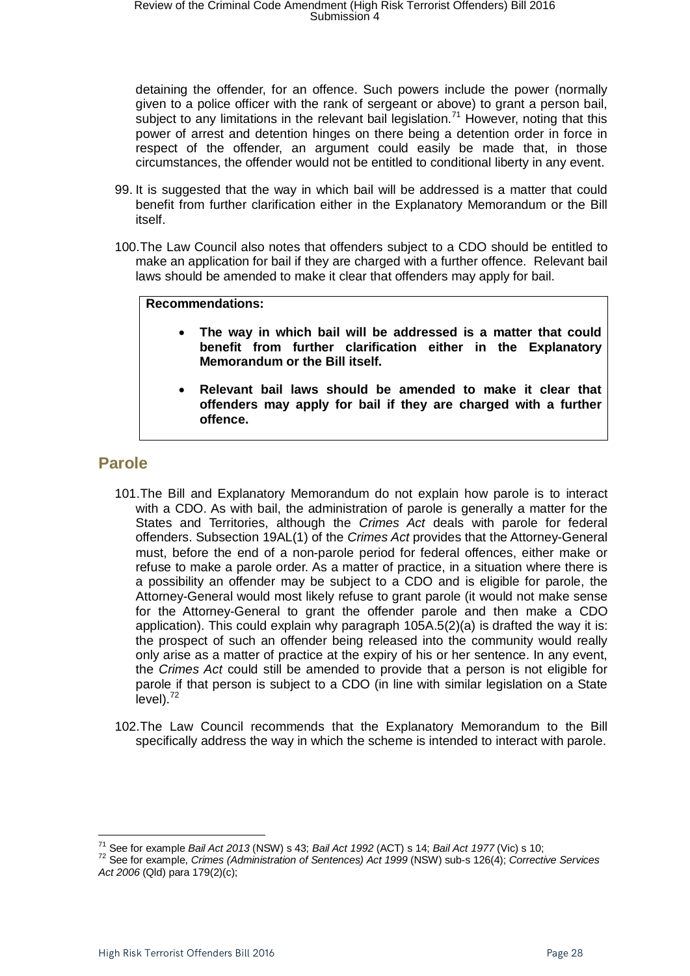detaining the offender, for an offence. Such powers include the power (normally given to a police officer with the rank of sergeant or above) to grant a person bail, subject to any limitations in the relevant bail legislation.<sup>[71](#page-27-1)</sup> However, noting that this power of arrest and detention hinges on there being a detention order in force in respect of the offender, an argument could easily be made that, in those circumstances, the offender would not be entitled to conditional liberty in any event.

- 99. It is suggested that the way in which bail will be addressed is a matter that could benefit from further clarification either in the Explanatory Memorandum or the Bill itself.
- 100.The Law Council also notes that offenders subject to a CDO should be entitled to make an application for bail if they are charged with a further offence. Relevant bail laws should be amended to make it clear that offenders may apply for bail.

#### **Recommendations:**

- **The way in which bail will be addressed is a matter that could benefit from further clarification either in the Explanatory Memorandum or the Bill itself.**
- **Relevant bail laws should be amended to make it clear that offenders may apply for bail if they are charged with a further offence.**

### <span id="page-27-0"></span>**Parole**

- 101.The Bill and Explanatory Memorandum do not explain how parole is to interact with a CDO. As with bail, the administration of parole is generally a matter for the States and Territories, although the *Crimes Act* deals with parole for federal offenders. Subsection 19AL(1) of the *Crimes Act* provides that the Attorney-General must, before the end of a non-parole period for federal offences, either make or refuse to make a parole order. As a matter of practice, in a situation where there is a possibility an offender may be subject to a CDO and is eligible for parole, the Attorney-General would most likely refuse to grant parole (it would not make sense for the Attorney-General to grant the offender parole and then make a CDO application). This could explain why paragraph 105A.5(2)(a) is drafted the way it is: the prospect of such an offender being released into the community would really only arise as a matter of practice at the expiry of his or her sentence. In any event, the *Crimes Act* could still be amended to provide that a person is not eligible for parole if that person is subject to a CDO (in line with similar legislation on a State  $level).$ <sup>[72](#page-27-2)</sup>
- 102.The Law Council recommends that the Explanatory Memorandum to the Bill specifically address the way in which the scheme is intended to interact with parole.

<span id="page-27-2"></span>

<span id="page-27-1"></span><sup>&</sup>lt;sup>71</sup> See for example *Bail Act 2013* (NSW) s 43; *Bail Act 1992* (ACT) s 14; *Bail Act 1977* (Vic) s 10;<br><sup>72</sup> See for example. *Crimes (Administration of Sentences) Act 1999* (NSW) sub-s 126(4); *Corrective Services Act 2006* (Qld) para 179(2)(c);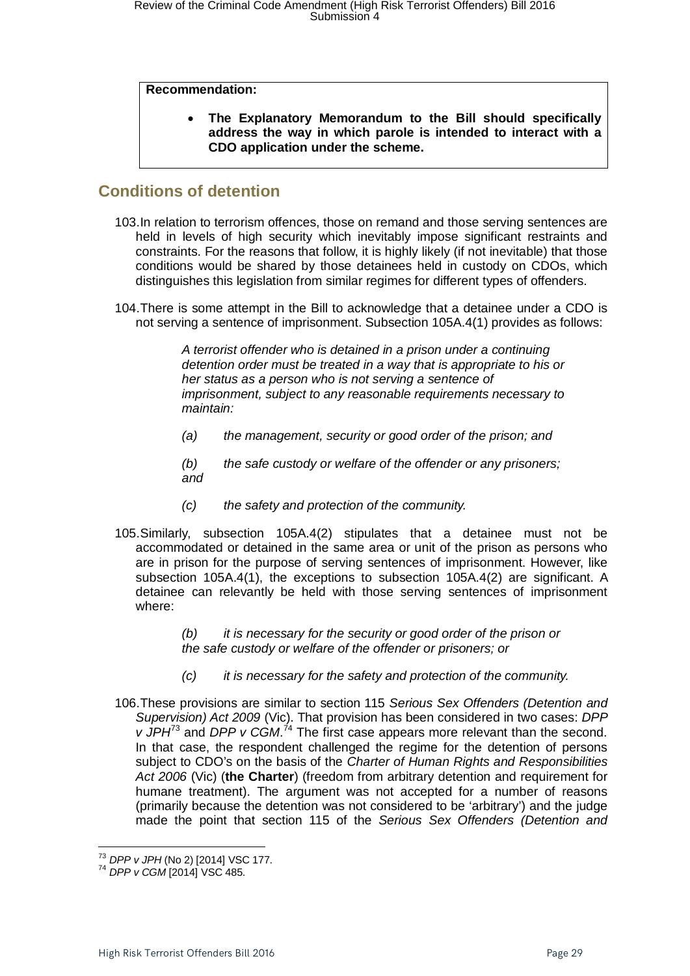#### **Recommendation:**

• **The Explanatory Memorandum to the Bill should specifically address the way in which parole is intended to interact with a CDO application under the scheme.**

### <span id="page-28-0"></span>**Conditions of detention**

- 103.In relation to terrorism offences, those on remand and those serving sentences are held in levels of high security which inevitably impose significant restraints and constraints. For the reasons that follow, it is highly likely (if not inevitable) that those conditions would be shared by those detainees held in custody on CDOs, which distinguishes this legislation from similar regimes for different types of offenders.
- 104.There is some attempt in the Bill to acknowledge that a detainee under a CDO is not serving a sentence of imprisonment. Subsection 105A.4(1) provides as follows:

*A terrorist offender who is detained in a prison under a continuing detention order must be treated in a way that is appropriate to his or her status as a person who is not serving a sentence of imprisonment, subject to any reasonable requirements necessary to maintain:*

*(a) the management, security or good order of the prison; and*

*(b) the safe custody or welfare of the offender or any prisoners; and*

- *(c) the safety and protection of the community.*
- 105.Similarly, subsection 105A.4(2) stipulates that a detainee must not be accommodated or detained in the same area or unit of the prison as persons who are in prison for the purpose of serving sentences of imprisonment. However, like subsection 105A.4(1), the exceptions to subsection 105A.4(2) are significant. A detainee can relevantly be held with those serving sentences of imprisonment where:

*(b) it is necessary for the security or good order of the prison or the safe custody or welfare of the offender or prisoners; or*

- *(c) it is necessary for the safety and protection of the community.*
- 106.These provisions are similar to section 115 *Serious Sex Offenders (Detention and Supervision) Act 2009* (Vic). That provision has been considered in two cases: *DPP v* JPH<sup>[73](#page-28-1)</sup> and DPP *v* CGM.<sup>[74](#page-28-2)</sup> The first case appears more relevant than the second. In that case, the respondent challenged the regime for the detention of persons subject to CDO's on the basis of the *Charter of Human Rights and Responsibilities Act 2006* (Vic) (**the Charter**) (freedom from arbitrary detention and requirement for humane treatment). The argument was not accepted for a number of reasons (primarily because the detention was not considered to be 'arbitrary') and the judge made the point that section 115 of the *Serious Sex Offenders (Detention and*

<span id="page-28-1"></span><sup>&</sup>lt;sup>73</sup> DPP v JPH (No 2) [2014] VSC 177.

<span id="page-28-2"></span><sup>73</sup> *DPP v JPH* (No 2) [2014] VSC 177. <sup>74</sup> *DPP v CGM* [2014] VSC 485.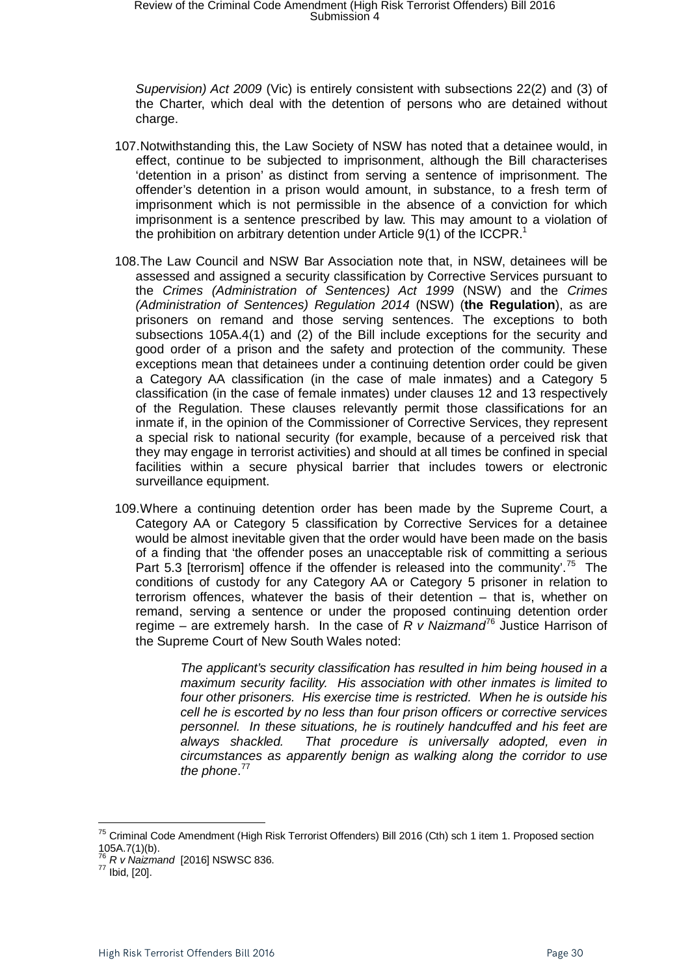*Supervision) Act 2009* (Vic) is entirely consistent with subsections 22(2) and (3) of the Charter, which deal with the detention of persons who are detained without charge.

- 107.Notwithstanding this, the Law Society of NSW has noted that a detainee would, in effect, continue to be subjected to imprisonment, although the Bill characterises 'detention in a prison' as distinct from serving a sentence of imprisonment. The offender's detention in a prison would amount, in substance, to a fresh term of imprisonment which is not permissible in the absence of a conviction for which imprisonment is a sentence prescribed by law. This may amount to a violation of the prohibition on arbitrary detention under Article  $9(1)$  of the ICCPR.<sup>1</sup>
- 108.The Law Council and NSW Bar Association note that, in NSW, detainees will be assessed and assigned a security classification by Corrective Services pursuant to the *Crimes (Administration of Sentences) Act 1999* (NSW) and the *Crimes (Administration of Sentences) Regulation 2014* (NSW) (**the Regulation**), as are prisoners on remand and those serving sentences. The exceptions to both subsections 105A.4(1) and (2) of the Bill include exceptions for the security and good order of a prison and the safety and protection of the community. These exceptions mean that detainees under a continuing detention order could be given a Category AA classification (in the case of male inmates) and a Category 5 classification (in the case of female inmates) under clauses 12 and 13 respectively of the Regulation. These clauses relevantly permit those classifications for an inmate if, in the opinion of the Commissioner of Corrective Services, they represent a special risk to national security (for example, because of a perceived risk that they may engage in terrorist activities) and should at all times be confined in special facilities within a secure physical barrier that includes towers or electronic surveillance equipment.
- 109.Where a continuing detention order has been made by the Supreme Court, a Category AA or Category 5 classification by Corrective Services for a detainee would be almost inevitable given that the order would have been made on the basis of a finding that 'the offender poses an unacceptable risk of committing a serious Part 5.3 [terrorism] offence if the offender is released into the community'.<sup>75</sup> The conditions of custody for any Category AA or Category 5 prisoner in relation to terrorism offences, whatever the basis of their detention – that is, whether on remand, serving a sentence or under the proposed continuing detention order regime – are extremely harsh. In the case of  $R$  v Naizmand<sup>[76](#page-29-1)</sup> Justice Harrison of the Supreme Court of New South Wales noted:

*The applicant's security classification has resulted in him being housed in a maximum security facility. His association with other inmates is limited to four other prisoners. His exercise time is restricted. When he is outside his cell he is escorted by no less than four prison officers or corrective services personnel. In these situations, he is routinely handcuffed and his feet are always shackled. That procedure is universally adopted, even in circumstances as apparently benign as walking along the corridor to use*  the phone.<sup>[77](#page-29-2)</sup>

<span id="page-29-0"></span><sup>&</sup>lt;sup>75</sup> Criminal Code Amendment (High Risk Terrorist Offenders) Bill 2016 (Cth) sch 1 item 1. Proposed section 105A.7(1)(b).

<span id="page-29-1"></span><sup>&</sup>lt;sup>76</sup> *R v Naizmand* [2016] NSWSC 836.<br><sup>77</sup> Ibid, [20].

<span id="page-29-2"></span>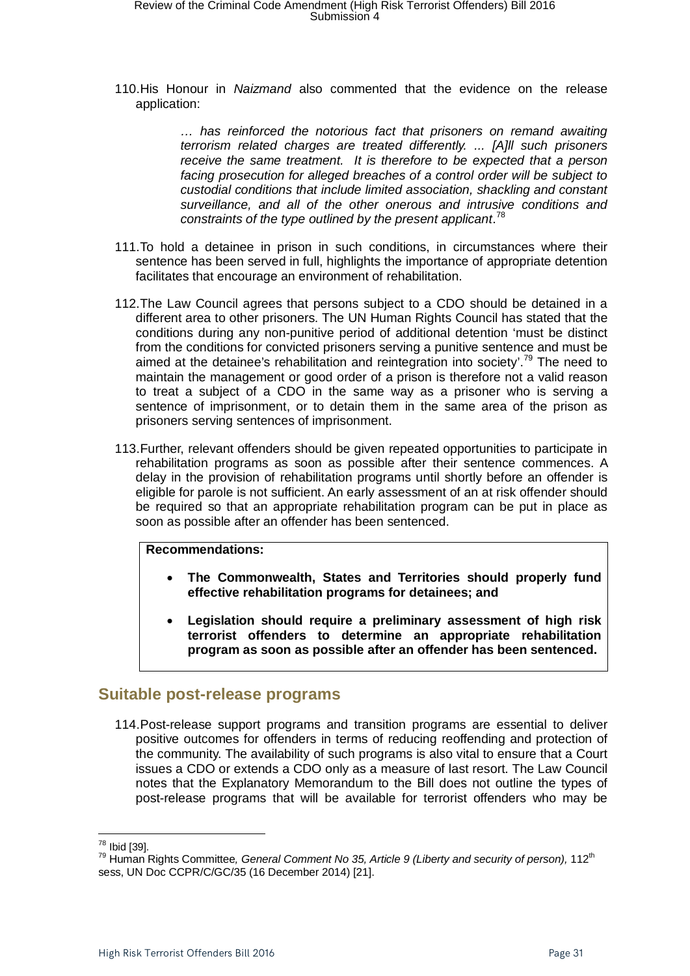110.His Honour in *Naizmand* also commented that the evidence on the release application:

> *… has reinforced the notorious fact that prisoners on remand awaiting terrorism related charges are treated differently. ... [A]ll such prisoners receive the same treatment. It is therefore to be expected that a person facing prosecution for alleged breaches of a control order will be subject to custodial conditions that include limited association, shackling and constant surveillance, and all of the other onerous and intrusive conditions and constraints of the type outlined by the present applicant*. [78](#page-30-1)

- 111.To hold a detainee in prison in such conditions, in circumstances where their sentence has been served in full, highlights the importance of appropriate detention facilitates that encourage an environment of rehabilitation.
- 112.The Law Council agrees that persons subject to a CDO should be detained in a different area to other prisoners. The UN Human Rights Council has stated that the conditions during any non-punitive period of additional detention 'must be distinct from the conditions for convicted prisoners serving a punitive sentence and must be aimed at the detainee's rehabilitation and reintegration into society'.<sup>[79](#page-30-2)</sup> The need to maintain the management or good order of a prison is therefore not a valid reason to treat a subject of a CDO in the same way as a prisoner who is serving a sentence of imprisonment, or to detain them in the same area of the prison as prisoners serving sentences of imprisonment.
- 113.Further, relevant offenders should be given repeated opportunities to participate in rehabilitation programs as soon as possible after their sentence commences. A delay in the provision of rehabilitation programs until shortly before an offender is eligible for parole is not sufficient. An early assessment of an at risk offender should be required so that an appropriate rehabilitation program can be put in place as soon as possible after an offender has been sentenced.

#### **Recommendations:**

- **The Commonwealth, States and Territories should properly fund effective rehabilitation programs for detainees; and**
- **Legislation should require a preliminary assessment of high risk terrorist offenders to determine an appropriate rehabilitation program as soon as possible after an offender has been sentenced.**

### <span id="page-30-0"></span>**Suitable post-release programs**

114.Post-release support programs and transition programs are essential to deliver positive outcomes for offenders in terms of reducing reoffending and protection of the community. The availability of such programs is also vital to ensure that a Court issues a CDO or extends a CDO only as a measure of last resort. The Law Council notes that the Explanatory Memorandum to the Bill does not outline the types of post-release programs that will be available for terrorist offenders who may be

<sup>&</sup>lt;sup>78</sup> Ibid [39].

<span id="page-30-2"></span><span id="page-30-1"></span><sup>&</sup>lt;sup>79</sup> Human Rights Committee, General Comment No 35, Article 9 (Liberty and security of person), 112<sup>th</sup> sess, UN Doc CCPR/C/GC/35 (16 December 2014) [21].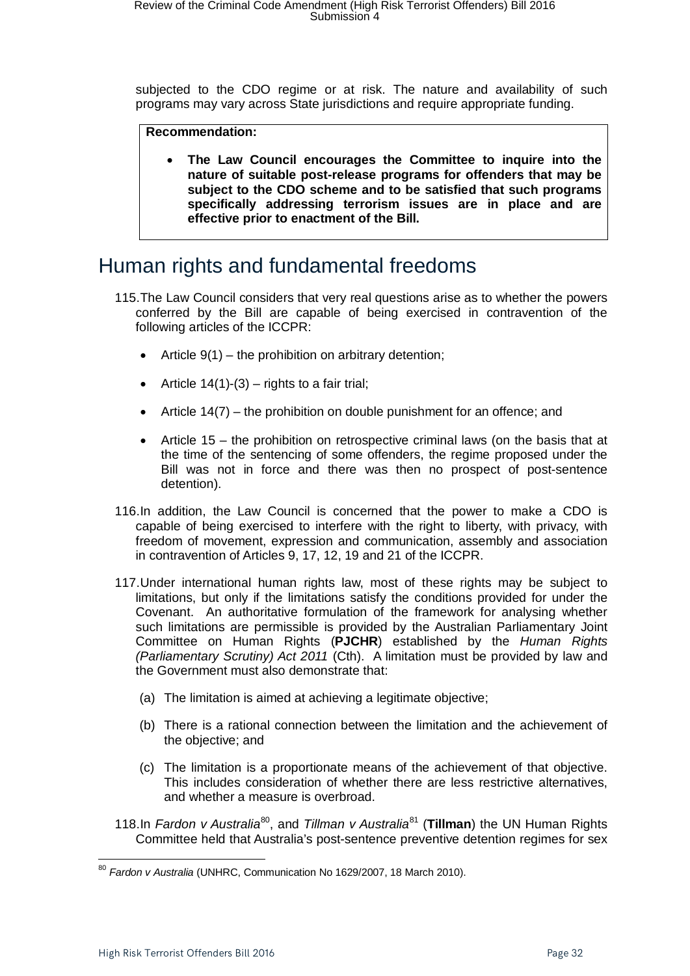subjected to the CDO regime or at risk. The nature and availability of such programs may vary across State jurisdictions and require appropriate funding.

#### **Recommendation:**

• **The Law Council encourages the Committee to inquire into the nature of suitable post-release programs for offenders that may be subject to the CDO scheme and to be satisfied that such programs specifically addressing terrorism issues are in place and are effective prior to enactment of the Bill.**

### <span id="page-31-0"></span>Human rights and fundamental freedoms

- 115.The Law Council considers that very real questions arise as to whether the powers conferred by the Bill are capable of being exercised in contravention of the following articles of the ICCPR:
	- Article  $9(1)$  the prohibition on arbitrary detention;
	- Article  $14(1)-(3)$  rights to a fair trial;
	- Article 14(7) the prohibition on double punishment for an offence; and
	- Article 15 the prohibition on retrospective criminal laws (on the basis that at the time of the sentencing of some offenders, the regime proposed under the Bill was not in force and there was then no prospect of post-sentence detention).
- 116.In addition, the Law Council is concerned that the power to make a CDO is capable of being exercised to interfere with the right to liberty, with privacy, with freedom of movement, expression and communication, assembly and association in contravention of Articles 9, 17, 12, 19 and 21 of the ICCPR.
- 117.Under international human rights law, most of these rights may be subject to limitations, but only if the limitations satisfy the conditions provided for under the Covenant. An authoritative formulation of the framework for analysing whether such limitations are permissible is provided by the Australian Parliamentary Joint Committee on Human Rights (**PJCHR**) established by the *Human Rights (Parliamentary Scrutiny) Act 2011* (Cth). A limitation must be provided by law and the Government must also demonstrate that:
	- (a) The limitation is aimed at achieving a legitimate objective;
	- (b) There is a rational connection between the limitation and the achievement of the objective; and
	- (c) The limitation is a proportionate means of the achievement of that objective. This includes consideration of whether there are less restrictive alternatives, and whether a measure is overbroad.
- 118.In *Fardon v Australia*[80,](#page-31-1) and *Tillman v Australia*[81](#page-31-2) (**Tillman**) the UN Human Rights Committee held that Australia's post-sentence preventive detention regimes for sex

<span id="page-31-2"></span><span id="page-31-1"></span><sup>80</sup> *Fardon v Australia* (UNHRC, Communication No 1629/2007, 18 March 2010).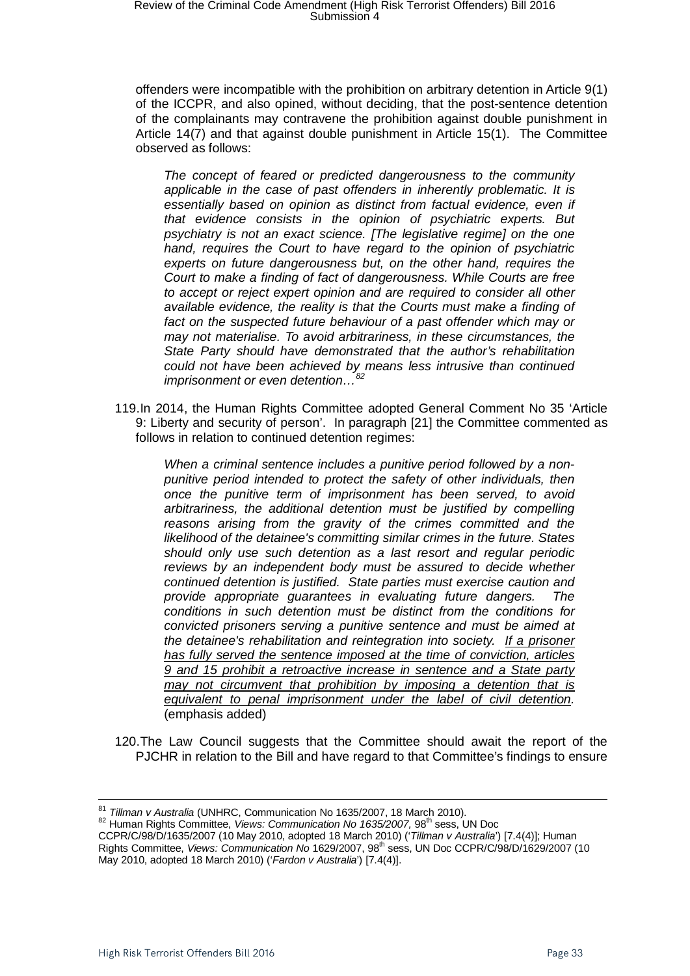offenders were incompatible with the prohibition on arbitrary detention in Article 9(1) of the ICCPR, and also opined, without deciding, that the post-sentence detention of the complainants may contravene the prohibition against double punishment in Article 14(7) and that against double punishment in Article 15(1). The Committee observed as follows:

*The concept of feared or predicted dangerousness to the community applicable in the case of past offenders in inherently problematic. It is essentially based on opinion as distinct from factual evidence, even if that evidence consists in the opinion of psychiatric experts. But psychiatry is not an exact science. [The legislative regime] on the one hand, requires the Court to have regard to the opinion of psychiatric experts on future dangerousness but, on the other hand, requires the Court to make a finding of fact of dangerousness. While Courts are free to accept or reject expert opinion and are required to consider all other available evidence, the reality is that the Courts must make a finding of*  fact on the suspected future behaviour of a past offender which may or *may not materialise. To avoid arbitrariness, in these circumstances, the State Party should have demonstrated that the author's rehabilitation could not have been achieved by means less intrusive than continued imprisonment or even detention...* 

119.In 2014, the Human Rights Committee adopted General Comment No 35 'Article 9: Liberty and security of person'. In paragraph [21] the Committee commented as follows in relation to continued detention regimes:

*When a criminal sentence includes a punitive period followed by a nonpunitive period intended to protect the safety of other individuals, then once the punitive term of imprisonment has been served, to avoid arbitrariness, the additional detention must be justified by compelling reasons arising from the gravity of the crimes committed and the likelihood of the detainee's committing similar crimes in the future. States should only use such detention as a last resort and regular periodic reviews by an independent body must be assured to decide whether continued detention is justified. State parties must exercise caution and provide appropriate guarantees in evaluating future dangers. The conditions in such detention must be distinct from the conditions for convicted prisoners serving a punitive sentence and must be aimed at the detainee's rehabilitation and reintegration into society. If a prisoner has fully served the sentence imposed at the time of conviction, articles 9 and 15 prohibit a retroactive increase in sentence and a State party may not circumvent that prohibition by imposing a detention that is equivalent to penal imprisonment under the label of civil detention.*  (emphasis added)

120.The Law Council suggests that the Committee should await the report of the PJCHR in relation to the Bill and have regard to that Committee's findings to ensure

<span id="page-32-0"></span><sup>&</sup>lt;sup>81</sup> *Tillman v Australia* (UNHRC, Communication No 1635/2007, 18 March 2010).<br><sup>82</sup> Human Rights Committee, *Views: Communication No 1635/2007,* 98<sup>th</sup> sess, UN Doc CCPR/C/98/D/1635/2007 (10 May 2010, adopted 18 March 2010) ('*Tillman v Australia*') [7.4(4)]; Human Rights Committee, *Views: Communication No* 1629/2007, 98<sup>th</sup> sess, UN Doc CCPR/C/98/D/1629/2007 (10 May 2010, adopted 18 March 2010) ('*Fardon v Australia*') [7.4(4)].